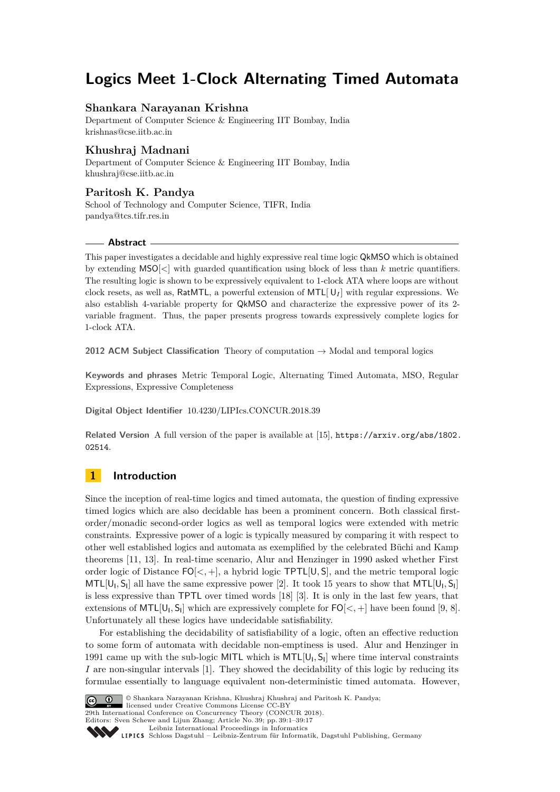# **Logics Meet 1-Clock Alternating Timed Automata**

# **Shankara Narayanan Krishna**

Department of Computer Science & Engineering IIT Bombay, India [krishnas@cse.iitb.ac.in](mailto:krishnas@cse.iitb.ac.in)

# **Khushraj Madnani**

Department of Computer Science & Engineering IIT Bombay, India [khushraj@cse.iitb.ac.in](mailto:khushraj@cse.iitb.ac.in)

# **Paritosh K. Pandya**

School of Technology and Computer Science, TIFR, India [pandya@tcs.tifr.res.in](mailto:pandya@tcs.tifr.res.in)

### **Abstract**

This paper investigates a decidable and highly expressive real time logic QkMSO which is obtained by extending  $MSO[\langle \cdot]$  with guarded quantification using block of less than k metric quantifiers. The resulting logic is shown to be expressively equivalent to 1-clock ATA where loops are without clock resets, as well as, RatMTL, a powerful extension of MTL $[U_I]$  with regular expressions. We also establish 4-variable property for QkMSO and characterize the expressive power of its 2 variable fragment. Thus, the paper presents progress towards expressively complete logics for 1-clock ATA.

**2012 ACM Subject Classification** Theory of computation → Modal and temporal logics

**Keywords and phrases** Metric Temporal Logic, Alternating Timed Automata, MSO, Regular Expressions, Expressive Completeness

**Digital Object Identifier** [10.4230/LIPIcs.CONCUR.2018.39](http://dx.doi.org/10.4230/LIPIcs.CONCUR.2018.39)

**Related Version** A full version of the paper is available at [\[15\]](#page-15-0), [https://arxiv.org/abs/1802.](https://arxiv.org/abs/1802.02514) [02514](https://arxiv.org/abs/1802.02514).

# **1 Introduction**

Since the inception of real-time logics and timed automata, the question of finding expressive timed logics which are also decidable has been a prominent concern. Both classical firstorder/monadic second-order logics as well as temporal logics were extended with metric constraints. Expressive power of a logic is typically measured by comparing it with respect to other well established logics and automata as exemplified by the celebrated Büchi and Kamp theorems [\[11,](#page-15-1) [13\]](#page-15-2). In real-time scenario, Alur and Henzinger in 1990 asked whether First order logic of Distance  $FO[\langle , +]$ , a hybrid logic  $TPTL[U, S]$ , and the metric temporal logic  $MTL[U_1, S_1]$  all have the same expressive power [\[2\]](#page-15-3). It took 15 years to show that  $MTL[U_1, S_1]$ is less expressive than TPTL over timed words [\[18\]](#page-16-0) [\[3\]](#page-15-4). It is only in the last few years, that extensions of  $MTL[U_1, S_1]$  which are expressively complete for  $FO[<,+]$  have been found [\[9,](#page-15-5) [8\]](#page-15-6). Unfortunately all these logics have undecidable satisfiability.

For establishing the decidability of satisfiability of a logic, often an effective reduction to some form of automata with decidable non-emptiness is used. Alur and Henzinger in 1991 came up with the sub-logic MITL which is  $MTL[U_1, S_1]$  where time interval constraints *I* are non-singular intervals [\[1\]](#page-15-7). They showed the decidability of this logic by reducing its formulae essentially to language equivalent non-deterministic timed automata. However,



© Shankara Narayanan Krishna, Khushraj Khushraj and Paritosh K. Pandya;

**29th International Conference on Concurrency Theory (CONCUR 2018).** 

Editors: Sven Schewe and Lijun Zhang; Article No. 39; pp. 39:1–39[:17](#page-16-1)

[Leibniz International Proceedings in Informatics](http://www.dagstuhl.de/lipics/)

[Schloss Dagstuhl – Leibniz-Zentrum für Informatik, Dagstuhl Publishing, Germany](http://www.dagstuhl.de)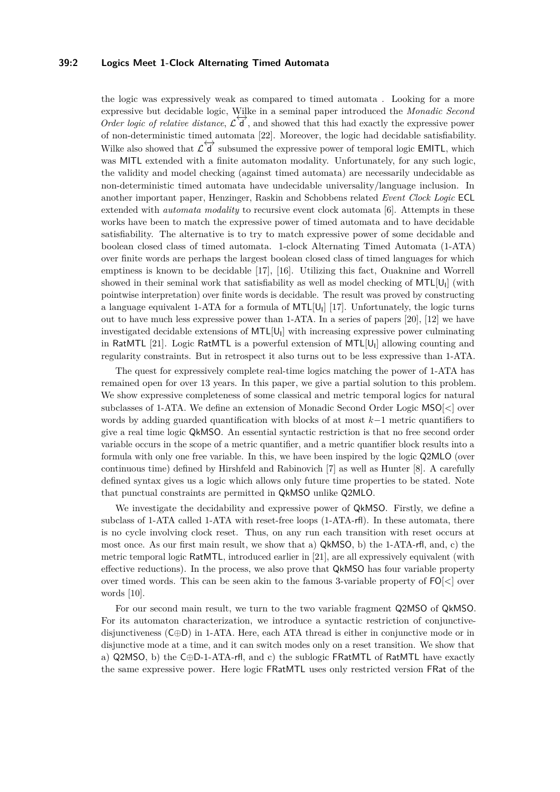# **39:2 Logics Meet 1-Clock Alternating Timed Automata**

the logic was expressively weak as compared to timed automata . Looking for a more expressive but decidable logic, Wilke in a seminal paper introduced the *Monadic Second Order logic of relative distance*,  $\mathcal{L}$  **d**, and showed that this had exactly the expressive power of non-deterministic timed automata [\[22\]](#page-16-2). Moreover, the logic had decidable satisfiability. Wilke also showed that  $\mathcal{L}(\vec{d})$  subsumed the expressive power of temporal logic EMITL, which was MITL extended with a finite automaton modality. Unfortunately, for any such logic, the validity and model checking (against timed automata) are necessarily undecidable as non-deterministic timed automata have undecidable universality/language inclusion. In another important paper, Henzinger, Raskin and Schobbens related *Event Clock Logic* ECL extended with *automata modality* to recursive event clock automata [\[6\]](#page-15-8). Attempts in these works have been to match the expressive power of timed automata and to have decidable satisfiability. The alternative is to try to match expressive power of some decidable and boolean closed class of timed automata. 1-clock Alternating Timed Automata (1-ATA) over finite words are perhaps the largest boolean closed class of timed languages for which emptiness is known to be decidable [\[17\]](#page-16-3), [\[16\]](#page-15-9). Utilizing this fact, Ouaknine and Worrell showed in their seminal work that satisfiability as well as model checking of  $MTL[U_1]$  (with pointwise interpretation) over finite words is decidable. The result was proved by constructing a language equivalent 1-ATA for a formula of  $\textsf{MTL}[{\mathsf{U}}_l]$  [\[17\]](#page-16-3). Unfortunately, the logic turns out to have much less expressive power than 1-ATA. In a series of papers [\[20\]](#page-16-4), [\[12\]](#page-15-10) we have investigated decidable extensions of  $MTL[U_1]$  with increasing expressive power culminating in RatMTL [\[21\]](#page-16-5). Logic RatMTL is a powerful extension of MTL[U<sub>I</sub>] allowing counting and regularity constraints. But in retrospect it also turns out to be less expressive than 1-ATA.

The quest for expressively complete real-time logics matching the power of 1-ATA has remained open for over 13 years. In this paper, we give a partial solution to this problem. We show expressive completeness of some classical and metric temporal logics for natural subclasses of 1-ATA. We define an extension of Monadic Second Order Logic MSO[*<*] over words by adding guarded quantification with blocks of at most *k*−1 metric quantifiers to give a real time logic QkMSO. An essential syntactic restriction is that no free second order variable occurs in the scope of a metric quantifier, and a metric quantifier block results into a formula with only one free variable. In this, we have been inspired by the logic Q2MLO (over continuous time) defined by Hirshfeld and Rabinovich [\[7\]](#page-15-11) as well as Hunter [\[8\]](#page-15-6). A carefully defined syntax gives us a logic which allows only future time properties to be stated. Note that punctual constraints are permitted in QkMSO unlike Q2MLO.

We investigate the decidability and expressive power of QkMSO. Firstly, we define a subclass of 1-ATA called 1-ATA with reset-free loops (1-ATA-rfl). In these automata, there is no cycle involving clock reset. Thus, on any run each transition with reset occurs at most once. As our first main result, we show that a) QkMSO, b) the 1-ATA-rfl, and, c) the metric temporal logic RatMTL, introduced earlier in [\[21\]](#page-16-5), are all expressively equivalent (with effective reductions). In the process, we also prove that QkMSO has four variable property over timed words. This can be seen akin to the famous 3-variable property of FO[*<*] over words [\[10\]](#page-15-12).

For our second main result, we turn to the two variable fragment Q2MSO of QkMSO. For its automaton characterization, we introduce a syntactic restriction of conjunctivedisjunctiveness (C⊕D) in 1-ATA. Here, each ATA thread is either in conjunctive mode or in disjunctive mode at a time, and it can switch modes only on a reset transition. We show that a)  $Q2MSO$ , b) the C⊕D-1-ATA-rfl, and c) the sublogic FRatMTL of RatMTL have exactly the same expressive power. Here logic FRatMTL uses only restricted version FRat of the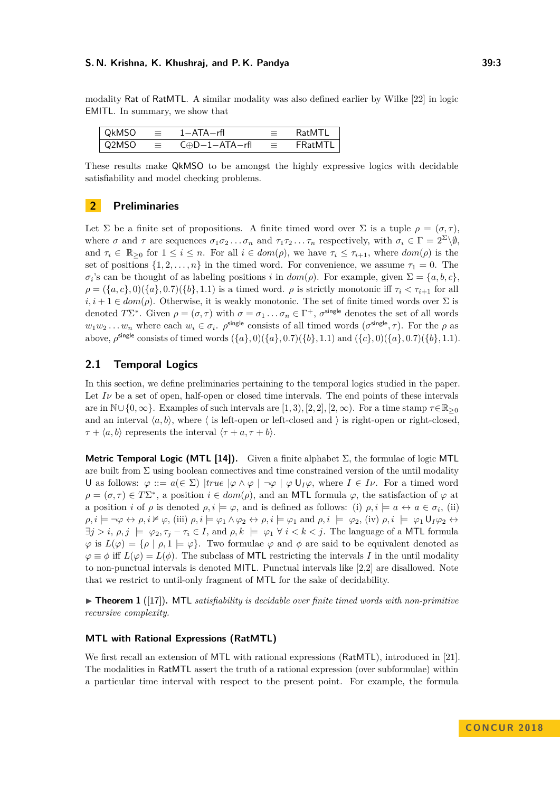modality Rat of RatMTL. A similar modality was also defined earlier by Wilke [\[22\]](#page-16-2) in logic EMITL. In summary, we show that

| l OkMSO | - 三 - -     | 1—ATA—rfl                    | $\equiv$ .  | RatMTL             |
|---------|-------------|------------------------------|-------------|--------------------|
| l Q2MSO | a Elizabeth | $C \oplus D - 1 - ATA - rfl$ | a Elizabeth | $\mathsf{FRatMTL}$ |

These results make QkMSO to be amongst the highly expressive logics with decidable satisfiability and model checking problems.

# **2 Preliminaries**

Let  $\Sigma$  be a finite set of propositions. A finite timed word over  $\Sigma$  is a tuple  $\rho = (\sigma, \tau)$ , where  $\sigma$  and  $\tau$  are sequences  $\sigma_1 \sigma_2 \ldots \sigma_n$  and  $\tau_1 \tau_2 \ldots \tau_n$  respectively, with  $\sigma_i \in \Gamma = 2^{\Sigma} \backslash \emptyset$ , and  $\tau_i \in \mathbb{R}_{\geq 0}$  for  $1 \leq i \leq n$ . For all  $i \in dom(\rho)$ , we have  $\tau_i \leq \tau_{i+1}$ , where  $dom(\rho)$  is the set of positions  $\{1, 2, \ldots, n\}$  in the timed word. For convenience, we assume  $\tau_1 = 0$ . The  $\sigma_i$ 's can be thought of as labeling positions *i* in  $dom(\rho)$ . For example, given  $\Sigma = \{a, b, c\}$ ,  $\rho = (\{a, c\}, 0)(\{a\}, 0.7)(\{b\}, 1.1)$  is a timed word.  $\rho$  is strictly monotonic iff  $\tau_i < \tau_{i+1}$  for all  $i, i+1 \in dom(\rho)$ . Otherwise, it is weakly monotonic. The set of finite timed words over  $\Sigma$  is denoted  $T\Sigma^*$ . Given  $\rho = (\sigma, \tau)$  with  $\sigma = \sigma_1 \dots \sigma_n \in \Gamma^+$ ,  $\sigma^{\text{single}}$  denotes the set of all words  $w_1w_2 \ldots w_n$  where each  $w_i \in \sigma_i$ .  $\rho^{\text{single}}$  consists of all timed words  $(\sigma^{\text{single}}, \tau)$ . For the  $\rho$  as above,  $\rho^{\text{single}}$  consists of timed words  $({a}, 0)({a}, 0.7)({b}, 1.1)$  and  $({c}, 0)({a}, 0.7)({b}, 1.1)$ .

# **2.1 Temporal Logics**

In this section, we define preliminaries pertaining to the temporal logics studied in the paper. Let  $I\nu$  be a set of open, half-open or closed time intervals. The end points of these intervals are in  $\mathbb{N}\cup\{0,\infty\}$ . Examples of such intervals are [1, 3)*,* [2, 2]*,* [2,  $\infty$ ). For a time stamp  $\tau \in \mathbb{R}_{\geq 0}$ and an interval  $\langle a, b \rangle$ , where  $\langle a \rangle$  is left-open or left-closed and  $\rangle$  is right-open or right-closed,  $\tau + \langle a, b \rangle$  represents the interval  $\langle \tau + a, \tau + b \rangle$ .

**Metric Temporal Logic (MTL [\[14\]](#page-15-13)).** Given a finite alphabet  $\Sigma$ , the formulae of logic MTL are built from  $\Sigma$  using boolean connectives and time constrained version of the until modality U as follows:  $\varphi ::= a(\in \Sigma) | true | \varphi \wedge \varphi | \neg \varphi | \varphi U_I \varphi$ , where  $I \in I \nu$ . For a timed word  $\rho = (\sigma, \tau) \in T\Sigma^*$ , a position  $i \in dom(\rho)$ , and an MTL formula  $\varphi$ , the satisfaction of  $\varphi$  at a position *i* of  $\rho$  is denoted  $\rho, i \models \varphi$ , and is defined as follows: (i)  $\rho, i \models a \leftrightarrow a \in \sigma_i$ , (ii)  $\rho, i \models \neg \varphi \leftrightarrow \rho, i \nvDash \varphi, (\text{iii}) \rho, i \models \varphi_1 \land \varphi_2 \leftrightarrow \rho, i \models \varphi_1 \text{ and } \rho, i \models \varphi_2, (\text{iv}) \rho, i \models \varphi_1 \mathsf{U}_I \varphi_2 \leftrightarrow \rho_2$  $\exists j > i, \rho, j \models \varphi_2, \tau_j - \tau_i \in I$ , and  $\rho, k \models \varphi_1 \ \forall i < k < j$ . The language of a MTL formula  $\varphi$  is  $L(\varphi) = {\rho \mid \rho, 1 \models \varphi}$ . Two formulae  $\varphi$  and  $\phi$  are said to be equivalent denoted as  $\varphi \equiv \phi$  iff  $L(\varphi) = L(\phi)$ . The subclass of MTL restricting the intervals *I* in the until modality to non-punctual intervals is denoted MITL. Punctual intervals like [2,2] are disallowed. Note that we restrict to until-only fragment of MTL for the sake of decidability.

 $\triangleright$  **Theorem 1** ([\[17\]](#page-16-3)). MTL *satisfiability is decidable over finite timed words with non-primitive recursive complexity.*

#### **MTL with Rational Expressions (RatMTL)**

We first recall an extension of MTL with rational expressions (RatMTL), introduced in [\[21\]](#page-16-5). The modalities in RatMTL assert the truth of a rational expression (over subformulae) within a particular time interval with respect to the present point. For example, the formula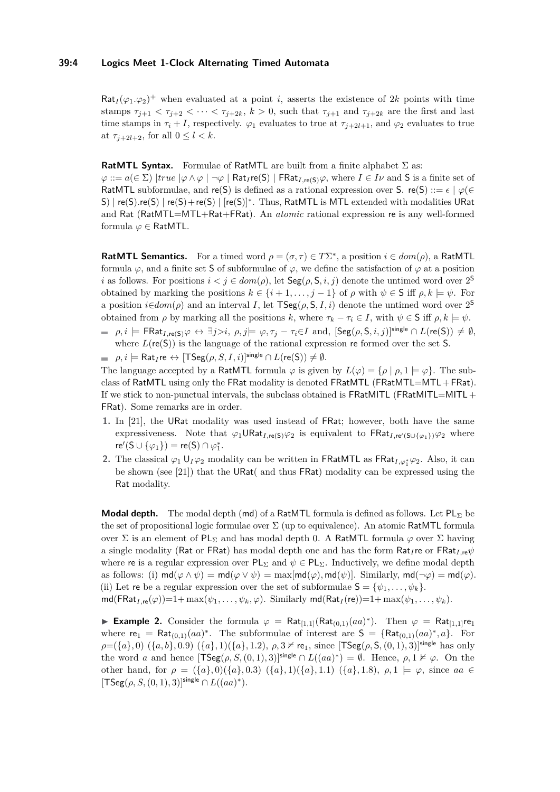#### **39:4 Logics Meet 1-Clock Alternating Timed Automata**

 $\text{Rat}_I(\varphi_1, \varphi_2)^+$  when evaluated at a point *i*, asserts the existence of 2*k* points with time stamps  $\tau_{i+1} < \tau_{i+2} < \cdots < \tau_{i+2k}$ ,  $k > 0$ , such that  $\tau_{i+1}$  and  $\tau_{i+2k}$  are the first and last time stamps in  $\tau_i + I$ , respectively.  $\varphi_1$  evaluates to true at  $\tau_{i+2l+1}$ , and  $\varphi_2$  evaluates to true at  $\tau_{j+2l+2}$ , for all  $0 \leq l \leq k$ .

#### **RatMTL Syntax.** Formulae of RatMTL are built from a finite alphabet Σ as:

 $\varphi ::= a(\in \Sigma) | true | \varphi \wedge \varphi | \neg \varphi |$  Rat<sub>*I*</sub> re(S) | FRat<sub>*I*,re(S)</sub> $\varphi$ , where  $I \in I\nu$  and S is a finite set of RatMTL subformulae, and re(S) is defined as a rational expression over S. re(S) ::=  $\epsilon \mid \varphi$ ( $\in$ S) | re(S).re(S) | re(S)+re(S) | [re(S)]<sup>\*</sup>. Thus, RatMTL is MTL extended with modalities URat and Rat (RatMTL=MTL+Rat+FRat). An *atomic* rational expression re is any well-formed formula *ϕ* ∈ RatMTL.

**RatMTL Semantics.** For a timed word  $\rho = (\sigma, \tau) \in T\Sigma^*$ , a position  $i \in dom(\rho)$ , a RatMTL formula  $\varphi$ , and a finite set S of subformulae of  $\varphi$ , we define the satisfaction of  $\varphi$  at a position *i* as follows. For positions  $i < j \in dom(\rho)$ , let  $Seg(\rho, S, i, j)$  denote the untimed word over  $2^S$ obtained by marking the positions  $k \in \{i+1,\ldots,j-1\}$  of  $\rho$  with  $\psi \in S$  iff  $\rho, k \models \psi$ . For a position  $i \in dom(\rho)$  and an interval *I*, let  $\textsf{TSeg}(\rho, \mathsf{S}, I, i)$  denote the untimed word over  $2^{\mathsf{S}}$ obtained from  $\rho$  by marking all the positions *k*, where  $\tau_k - \tau_i \in I$ , with  $\psi \in S$  iff  $\rho, k \models \psi$ .

- $\rho, i \models \mathsf{FRat}_{I, \mathsf{re}(S)} \varphi \leftrightarrow \exists j > i, \ \rho, j \models \varphi, \tau_j \tau_i \in I \ \text{and}, \ [\mathsf{Seg}(\rho, \mathsf{S}, i, j)]^{\mathsf{single}} \cap L(\mathsf{re}(\mathsf{S})) \neq \emptyset,$ where  $L(re(S))$  is the language of the rational expression re formed over the set S.
- $\rho, i \models \mathsf{Rat}_I \mathsf{re} \leftrightarrow [\mathsf{TSeg}(\rho, S, I, i)]^{\mathsf{single}} \cap L(\mathsf{re}(S)) \neq \emptyset.$

The language accepted by a RatMTL formula  $\varphi$  is given by  $L(\varphi) = {\rho | \rho, 1 \models \varphi}.$  The subclass of RatMTL using only the FRat modality is denoted FRatMTL (FRatMTL=MTL+FRat). If we stick to non-punctual intervals, the subclass obtained is FRatMITL (FRatMITL=MITL + FRat). Some remarks are in order.

- **1.** In [\[21\]](#page-16-5), the URat modality was used instead of FRat; however, both have the same expressiveness. Note that  $\varphi_1 \cup \text{Rat}_{I, \text{re}(S)} \varphi_2$  is equivalent to  $\text{FRat}_{I, \text{re}'(S \cup \{\varphi_1\})} \varphi_2$  where  $\mathsf{re}'(\mathsf{S} \cup \{\varphi_1\}) = \mathsf{re}(\mathsf{S}) \cap \varphi_1^*.$
- **2.** The classical  $\varphi_1$  U<sub>I</sub> $\varphi_2$  modality can be written in FRatMTL as FRat<sub>I, $\varphi_1^* \varphi_2$ . Also, it can</sub> be shown (see [\[21\]](#page-16-5)) that the URat( and thus FRat) modality can be expressed using the Rat modality.

**Modal depth.** The modal depth (md) of a RatMTL formula is defined as follows. Let  $PL_{\Sigma}$  be the set of propositional logic formulae over  $\Sigma$  (up to equivalence). An atomic RatMTL formula over  $\Sigma$  is an element of PL<sub>Σ</sub> and has modal depth 0. A RatMTL formula  $\varphi$  over  $\Sigma$  having a single modality (Rat or FRat) has modal depth one and has the form Rat*<sup>I</sup>* re or FRat*I,*re*ψ* where re is a regular expression over  $PL_{\Sigma}$  and  $\psi \in PL_{\Sigma}$ . Inductively, we define modal depth as follows: (i)  $\text{md}(\varphi \land \psi) = \text{md}(\varphi \lor \psi) = \max[\text{md}(\varphi), \text{md}(\psi)]$ . Similarly,  $\text{md}(\neg \varphi) = \text{md}(\varphi)$ . (ii) Let re be a regular expression over the set of subformulae  $S = {\psi_1, \ldots, \psi_k}$ .  $md(FRat_{I,\text{re}}(\varphi))=1+\max(\psi_1,\ldots,\psi_k,\varphi)$ . Similarly  $md(Rat_I(\text{re}))=1+\max(\psi_1,\ldots,\psi_k)$ .

► Example 2. Consider the formula  $\varphi = \text{Rat}_{[1,1]}(\text{Rat}_{(0,1)}(aa)^*)$ . Then  $\varphi = \text{Rat}_{[1,1]}$ re<sub>1</sub> where  $re_1 = Rat_{(0,1)}(aa)^*$ . The subformulae of interest are  $S = \{ Rat_{(0,1)}(aa)^*, a \}$ . For  $\rho = (\{a\}, 0)$   $(\{a, b\}, 0.9)$   $(\{a\}, 1)$  $(\{a\}, 1.2)$ ,  $\rho, 3 \nvDash$  re<sub>1</sub>, since  $[\text{TSeg}(\rho, \text{S}, (0, 1), 3)]^{\text{single}}$  has only the word *a* and hence  $[TSeg(\rho, S, (0, 1), 3)]^{single} \cap L((aa)^*) = \emptyset$ . Hence,  $\rho, 1 \nvDash \varphi$ . On the other hand, for  $\rho = (\{a\}, 0)(\{a\}, 0.3)$   $(\{a\}, 1)(\{a\}, 1.1)$   $(\{a\}, 1.8), \rho, 1 \models \varphi$ , since *aa* ∈  $[TSeg(\rho, S, (0, 1), 3)]^{single} \cap L((aa)^{*}).$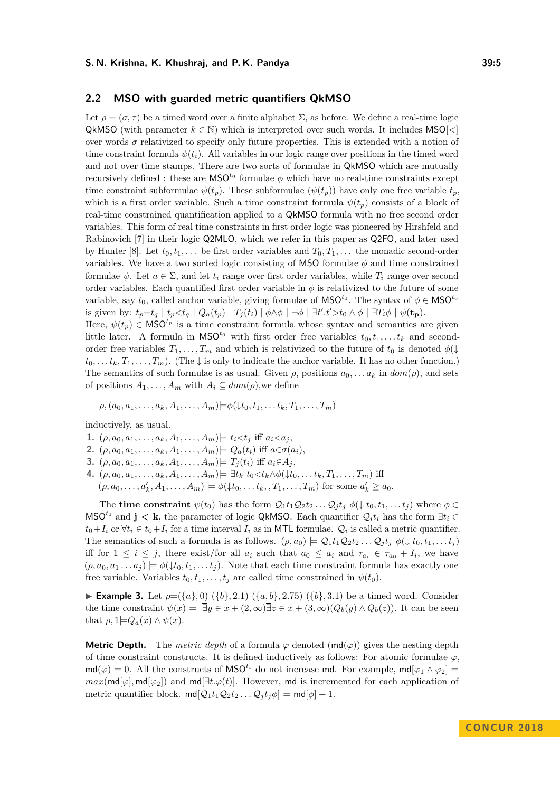### **2.2 MSO with guarded metric quantifiers QkMSO**

Let  $\rho = (\sigma, \tau)$  be a timed word over a finite alphabet  $\Sigma$ , as before. We define a real-time logic QkMSO (with parameter  $k \in \mathbb{N}$ ) which is interpreted over such words. It includes MSO $\leq$ over words  $\sigma$  relativized to specify only future properties. This is extended with a notion of time constraint formula  $\psi(t_i)$ . All variables in our logic range over positions in the timed word and not over time stamps. There are two sorts of formulae in QkMSO which are mutually recursively defined : these are  $\mathsf{MSO}^{t_0}$  formulae  $\phi$  which have no real-time constraints except time constraint subformulae  $\psi(t_p)$ . These subformulae  $(\psi(t_p))$  have only one free variable  $t_p$ , which is a first order variable. Such a time constraint formula  $\psi(t_n)$  consists of a block of real-time constrained quantification applied to a QkMSO formula with no free second order variables. This form of real time constraints in first order logic was pioneered by Hirshfeld and Rabinovich [\[7\]](#page-15-11) in their logic Q2MLO, which we refer in this paper as Q2FO, and later used by Hunter [\[8\]](#page-15-6). Let  $t_0, t_1, \ldots$  be first order variables and  $T_0, T_1, \ldots$  the monadic second-order variables. We have a two sorted logic consisting of MSO formulae *φ* and time constrained formulae  $\psi$ . Let  $a \in \Sigma$ , and let  $t_i$  range over first order variables, while  $T_i$  range over second order variables. Each quantified first order variable in  $\phi$  is relativized to the future of some variable, say  $t_0$ , called anchor variable, giving formulae of  $\mathsf{MSO}^{t_0}$ . The syntax of  $\phi \in \mathsf{MSO}^{t_0}$ is given by:  $t_p = t_q | t_p < t_q | Q_a(t_p) | T_j(t_i) | \phi \wedge \phi | \neg \phi | \exists t' . t' > t_0 \wedge \phi | \exists T_i \phi | \psi(t_p)$ . Here,  $\psi(t_p) \in \mathsf{MSO}^{t_p}$  is a time constraint formula whose syntax and semantics are given little later. A formula in  $\mathsf{MSO}^{t_0}$  with first order free variables  $t_0, t_1, \ldots t_k$  and second-

order free variables  $T_1, \ldots, T_m$  and which is relativized to the future of  $t_0$  is denoted  $\phi(\downarrow$  $t_0, \ldots, t_k, T_1, \ldots, T_m$ . (The  $\downarrow$  is only to indicate the anchor variable. It has no other function.) The semantics of such formulae is as usual. Given  $\rho$ , positions  $a_0, \ldots, a_k$  in  $dom(\rho)$ , and sets of positions  $A_1, \ldots, A_m$  with  $A_i \subseteq dom(\rho)$ , we define

 $\rho$ ,  $(a_0, a_1, \ldots, a_k, A_1, \ldots, A_m) \models \phi(\downarrow t_0, t_1, \ldots, t_k, T_1, \ldots, T_m)$ 

inductively, as usual.

- **1.**  $(\rho, a_0, a_1, \ldots, a_k, A_1, \ldots, A_m) \models t_i \lt t_j$  iff  $a_i \lt a_j$ ,
- **2.**  $(\rho, a_0, a_1, \ldots, a_k, A_1, \ldots, A_m) \models Q_a(t_i)$  iff  $a \in \sigma(a_i)$ ,
- **3.**  $(\rho, a_0, a_1, \ldots, a_k, A_1, \ldots, A_m) \models T_i(t_i)$  iff  $a_i \in A_i$ ,
- 4.  $(\rho, a_0, a_1, \ldots, a_k, A_1, \ldots, A_m) \models \exists t_k \ t_0 \lt t_k \wedge \phi(\downarrow t_0, \ldots t_k, T_1, \ldots, T_m)$  iff  $(\rho, a_0, \ldots, a'_k, A_1, \ldots, A_m) \models \phi(\downarrow t_0, \ldots, t_k, T_1, \ldots, T_m)$  for some  $a'_k \ge a_0$ .

The **time constraint**  $\psi(t_0)$  has the form  $\mathcal{Q}_1 t_1 \mathcal{Q}_2 t_2 \dots \mathcal{Q}_j t_j \phi(\downarrow t_0, t_1, \dots t_j)$  where  $\phi \in$ MSO<sup>*t*<sub>0</sub></sup> and **j**  $\lt k$ , the parameter of logic QkMSO. Each quantifier  $Q_i t_i$  has the form  $\exists t_i \in$  $t_0+I_i$  or  $\forall t_i \in t_0+I_i$  for a time interval  $I_i$  as in MTL formulae.  $\mathcal{Q}_i$  is called a metric quantifier. The semantics of such a formula is as follows.  $(\rho, a_0) \models Q_1 t_1 Q_2 t_2 \ldots Q_j t_j \phi(\downarrow t_0, t_1, \ldots t_j)$ iff for  $1 \leq i \leq j$ , there exist/for all  $a_i$  such that  $a_0 \leq a_i$  and  $\tau_{a_i} \in \tau_{a_0} + I_i$ , we have  $(\rho, a_0, a_1 \ldots a_j) \models \phi(\downarrow t_0, t_1, \ldots t_j)$ . Note that each time constraint formula has exactly one free variable. Variables  $t_0, t_1, \ldots, t_j$  are called time constrained in  $\psi(t_0)$ .

**Example 3.** Let  $\rho = (\{a\}, 0)$  ( $\{b\}, 2.1$ ) ( $\{a, b\}, 2.75$ ) ( $\{b\}, 3.1$ ) be a timed word. Consider the time constraint  $\psi(x) = \overline{\exists} y \in x + (2, \infty) \overline{\exists} z \in x + (3, \infty) (Q_b(y) \wedge Q_b(z))$ . It can be seen that  $\rho$ ,  $1 \models Q_a(x) \land \psi(x)$ .

**Metric Depth.** The *metric depth* of a formula  $\varphi$  denoted  $(\text{md}(\varphi))$  gives the nesting depth of time constraint constructs. It is defined inductively as follows: For atomic formulae  $\varphi$ ,  $md(\varphi) = 0$ . All the constructs of MSO<sup>t<sub>*i*</sub></sup> do not increase md. For example,  $md[\varphi_1 \wedge \varphi_2] =$  $max(\text{md}[\varphi], \text{md}[\varphi_2])$  and  $\text{md}[\exists t.\varphi(t)]$ . However, md is incremented for each application of metric quantifier block.  $\text{md}[\mathcal{Q}_1 t_1 \mathcal{Q}_2 t_2 \dots \mathcal{Q}_i t_i \phi] = \text{md}[\phi] + 1.$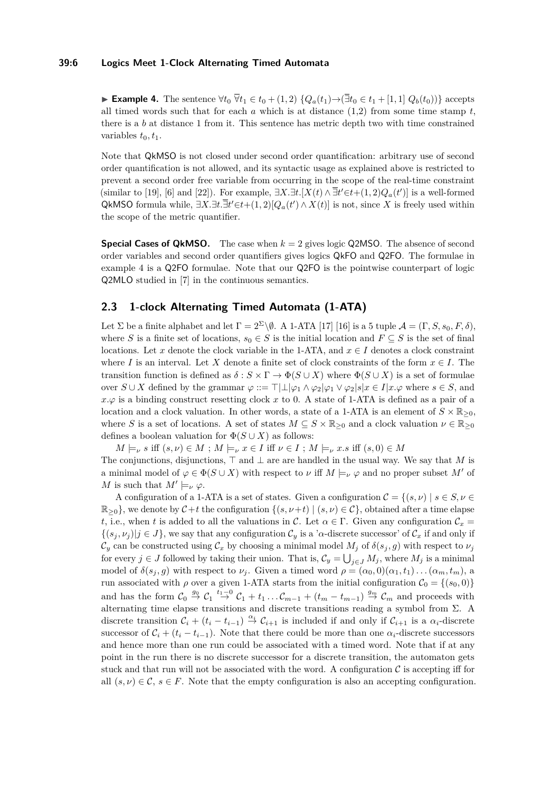#### **39:6 Logics Meet 1-Clock Alternating Timed Automata**

<span id="page-5-0"></span>**► Example 4.** The sentence  $\forall t_0 \ \nabla t_1 \in t_0 + (1, 2) \ \{Q_a(t_1) \rightarrow (\exists t_0 \in t_1 + [1, 1] \ Q_b(t_0))\}$  accepts all timed words such that for each  $a$  which is at distance  $(1,2)$  from some time stamp  $t$ , there is a *b* at distance 1 from it. This sentence has metric depth two with time constrained variables  $t_0, t_1$ .

Note that QkMSO is not closed under second order quantification: arbitrary use of second order quantification is not allowed, and its syntactic usage as explained above is restricted to prevent a second order free variable from occurring in the scope of the real-time constraint (similar to [\[19\]](#page-16-6), [\[6\]](#page-15-8) and [\[22\]](#page-16-2)). For example,  $\exists X.\exists t. [X(t) \land \overline{\exists}t' \in t+(1,2)Q_a(t')]$  is a well-formed QkMSO formula while,  $\exists X.\exists t \in \exists t' \in t+(1,2)[Q_a(t') \wedge X(t)]$  is not, since X is freely used within the scope of the metric quantifier.

**Special Cases of QkMSO.** The case when  $k = 2$  gives logic Q2MSO. The absence of second order variables and second order quantifiers gives logics QkFO and Q2FO. The formulae in example [4](#page-5-0) is a Q2FO formulae. Note that our Q2FO is the pointwise counterpart of logic Q2MLO studied in [\[7\]](#page-15-11) in the continuous semantics.

# **2.3 1-clock Alternating Timed Automata (1-ATA)**

Let  $\Sigma$  be a finite alphabet and let  $\Gamma = 2^{\Sigma} \backslash \emptyset$ . A 1-ATA [\[17\]](#page-16-3) [\[16\]](#page-15-9) is a 5 tuple  $\mathcal{A} = (\Gamma, S, s_0, F, \delta)$ , where *S* is a finite set of locations,  $s_0 \in S$  is the initial location and  $F \subseteq S$  is the set of final locations. Let x denote the clock variable in the 1-ATA, and  $x \in I$  denotes a clock constraint where *I* is an interval. Let *X* denote a finite set of clock constraints of the form  $x \in I$ . The transition function is defined as  $\delta : S \times \Gamma \to \Phi(S \cup X)$  where  $\Phi(S \cup X)$  is a set of formulae over  $S \cup X$  defined by the grammar  $\varphi ::= \top | \bot | \varphi_1 \wedge \varphi_2 | \varphi_1 \vee \varphi_2 | s | x \in I | x \cdot \varphi$  where  $s \in S$ , and  $x.\varphi$  is a binding construct resetting clock x to 0. A state of 1-ATA is defined as a pair of a location and a clock valuation. In other words, a state of a 1-ATA is an element of  $S \times \mathbb{R}_{\geq 0}$ , where *S* is a set of locations. A set of states  $M \subseteq S \times \mathbb{R}_{\geq 0}$  and a clock valuation  $\nu \in \mathbb{R}_{\geq 0}$ defines a boolean valuation for  $\Phi(S \cup X)$  as follows:

 $M \models_{\nu} s$  iff  $(s, \nu) \in M$ ;  $M \models_{\nu} x \in I$  iff  $\nu \in I$ ;  $M \models_{\nu} x.s$  iff  $(s, 0) \in M$ The conjunctions, disjunctions,  $\top$  and  $\bot$  are are handled in the usual way. We say that *M* is a minimal model of  $\varphi \in \Phi(S \cup X)$  with respect to *v* iff  $M \models_{\nu} \varphi$  and no proper subset M' of *M* is such that  $M' \models_{\nu} \varphi$ .

A configuration of a 1-ATA is a set of states. Given a configuration  $\mathcal{C} = \{(s, \nu) \mid s \in S, \nu \in \mathcal{C}\}$  $\mathbb{R}_{\geq 0}$ , we denote by  $\mathcal{C}+t$  the configuration  $\{(s,\nu+t) | (s,\nu) \in \mathcal{C}\}$ , obtained after a time elapse *t*, i.e., when *t* is added to all the valuations in C. Let  $\alpha \in \Gamma$ . Given any configuration  $\mathcal{C}_x$  $\{(s_i, \nu_i) | j \in J\}$ , we say that any configuration  $C_v$  is a '*α*-discrete successor' of  $C_x$  if and only if  $\mathcal{C}_y$  can be constructed using  $\mathcal{C}_x$  by choosing a minimal model  $M_j$  of  $\delta(s_j, g)$  with respect to  $\nu_j$ for every  $j \in J$  followed by taking their union. That is,  $\mathcal{C}_y = \bigcup_{j \in J} M_j$ , where  $M_j$  is a minimal model of  $\delta(s_i, g)$  with respect to  $\nu_i$ . Given a timed word  $\rho = (\alpha_0, 0)(\alpha_1, t_1) \dots (\alpha_m, t_m)$ , a run associated with  $\rho$  over a given 1-ATA starts from the initial configuration  $C_0 = \{(s_0, 0)\}$ and has the form  $C_0 \stackrel{g_0}{\rightarrow} C_1 \stackrel{t_1-0}{\rightarrow} C_1 + t_1 \ldots C_{m-1} + (t_m - t_{m-1}) \stackrel{g_m}{\rightarrow} C_m$  and proceeds with alternating time elapse transitions and discrete transitions reading a symbol from  $\Sigma$ . A discrete transition  $\mathcal{C}_i + (t_i - t_{i-1}) \stackrel{\alpha_i}{\rightarrow} \mathcal{C}_{i+1}$  is included if and only if  $\mathcal{C}_{i+1}$  is a  $\alpha_i$ -discrete successor of  $C_i + (t_i - t_{i-1})$ . Note that there could be more than one  $\alpha_i$ -discrete successors and hence more than one run could be associated with a timed word. Note that if at any point in the run there is no discrete successor for a discrete transition, the automaton gets stuck and that run will not be associated with the word. A configuration  $\mathcal C$  is accepting iff for all  $(s, \nu) \in \mathcal{C}, s \in F$ . Note that the empty configuration is also an accepting configuration.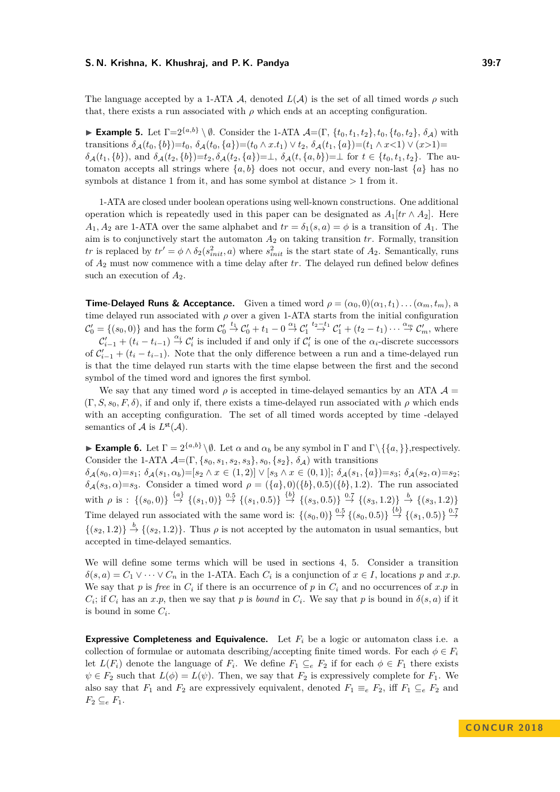The language accepted by a 1-ATA A, denoted  $L(A)$  is the set of all timed words  $\rho$  such that, there exists a run associated with  $\rho$  which ends at an accepting configuration.

**Example 5.** Let  $\Gamma = 2^{\{a,b\}} \setminus \emptyset$ . Consider the 1-ATA  $\mathcal{A} = (\Gamma, \{t_0, t_1, t_2\}, t_0, \{t_0, t_2\}, \delta_{\mathcal{A}})$  with transitions  $\delta_A(t_0, \{b\})=t_0, \ \delta_A(t_0, \{a\})=(t_0 \wedge x.t_1) \vee t_2, \ \delta_A(t_1, \{a\})=(t_1 \wedge x<1) \vee (x>1)=$  $\delta_{\mathcal{A}}(t_1,\{b\}),$  and  $\delta_{\mathcal{A}}(t_2,\{b\})=t_2, \delta_{\mathcal{A}}(t_2,\{a\})=\perp, \delta_{\mathcal{A}}(t,\{a,b\})=\perp$  for  $t \in \{t_0,t_1,t_2\}.$  The automaton accepts all strings where  $\{a, b\}$  does not occur, and every non-last  $\{a\}$  has no symbols at distance 1 from it, and has some symbol at distance *>* 1 from it.

1-ATA are closed under boolean operations using well-known constructions. One additional operation which is repeatedly used in this paper can be designated as  $A_1[tr \wedge A_2]$ . Here  $A_1, A_2$  are 1-ATA over the same alphabet and  $tr = \delta_1(s, a) = \phi$  is a transition of  $A_1$ . The aim is to conjunctively start the automaton *A*<sup>2</sup> on taking transition *tr*. Formally, transition *tr* is replaced by  $tr' = \phi \wedge \delta_2(s_{init}^2, a)$  where  $s_{init}^2$  is the start state of  $A_2$ . Semantically, runs of *A*<sup>2</sup> must now commence with a time delay after *tr*. The delayed run defined below defines such an execution of *A*2.

**Time-Delayed Runs & Acceptance.** Given a timed word  $\rho = (\alpha_0, 0)(\alpha_1, t_1) \dots (\alpha_m, t_m)$ , a time delayed run associated with  $\rho$  over a given 1-ATA starts from the initial configuration  $\mathcal{C}'_0 = \{(s_0, 0)\}\$ and has the form  $\mathcal{C}'_0 \stackrel{t_1}{\rightarrow} \mathcal{C}'_0 + t_1 - 0 \stackrel{\alpha_1}{\rightarrow} \mathcal{C}'_1 \stackrel{t_2-t_1}{\rightarrow} \mathcal{C}'_1 + (t_2 - t_1) \cdots \stackrel{\alpha_m}{\rightarrow} \mathcal{C}'_m$ , where  $\mathcal{C}'_{i-1} + (t_i - t_{i-1}) \stackrel{\alpha_i}{\rightarrow} \mathcal{C}'_i$  is included if and only if  $\mathcal{C}'_i$  is one of the  $\alpha_i$ -discrete successors of  $\mathcal{C}'_{i-1} + (t_i - t_{i-1})$ . Note that the only difference between a run and a time-delayed run is that the time delayed run starts with the time elapse between the first and the second symbol of the timed word and ignores the first symbol.

We say that any timed word  $\rho$  is accepted in time-delayed semantics by an ATA  $\mathcal{A} =$  $(\Gamma, S, s_0, F, \delta)$ , if and only if, there exists a time-delayed run associated with  $\rho$  which ends with an accepting configuration. The set of all timed words accepted by time -delayed semantics of  $\mathcal A$  is  $L^{\mathsf{st}}(\mathcal A)$ .

**Example 6.** Let  $\Gamma = 2^{\{a,b\}} \setminus \emptyset$ . Let  $\alpha$  and  $\alpha_b$  be any symbol in  $\Gamma$  and  $\Gamma \setminus \{\{a,\}\}\$ , respectively. Consider the 1-ATA  $\mathcal{A} = (\Gamma, \{s_0, s_1, s_2, s_3\}, s_0, \{s_2\}, \delta_{\mathcal{A}})$  with transitions  $\delta_{\mathcal{A}}(s_0,\alpha)=s_1; \ \delta_{\mathcal{A}}(s_1,\alpha_b)=[s_2 \land x \in (1,2)] \lor [s_3 \land x \in (0,1)]; \ \delta_{\mathcal{A}}(s_1,\{a\})=s_3; \ \delta_{\mathcal{A}}(s_2,\alpha)=s_2;$ *δ*A(*s*3*, α*)=*s*3. Consider a timed word *ρ* = ({*a*}*,* 0)({*b*}*,* 0*.*5)({*b*}*,* 1*.*2). The run associated with  $\rho$  is :  $\{(s_0,0)\}\stackrel{\{a\}}{\rightarrow}\{(s_1,0)\}\stackrel{0.5}{\rightarrow}\{(s_1,0.5)\}\stackrel{\{b\}}{\rightarrow}\{(s_3,0.5)\}\stackrel{0.7}{\rightarrow}\{(s_3,1.2)\}\stackrel{b}{\rightarrow}\{(s_3,1.2)\}$ Time delayed run associated with the same word is:  $\{(s_0, 0)\}\stackrel{0.5}{\rightarrow}\{(s_0, 0.5)\}\stackrel{\{b\}}{\rightarrow}\{(s_1, 0.5)\}\stackrel{0.7}{\rightarrow}$  $\{(s_2, 1.2)\}\stackrel{b}{\rightarrow}\{(s_2, 1.2)\}\.$  Thus  $\rho$  is not accepted by the automaton in usual semantics, but accepted in time-delayed semantics.

We will define some terms which will be used in sections [4,](#page-7-0) [5.](#page-12-0) Consider a transition  $\delta(s, a) = C_1 \vee \cdots \vee C_n$  in the 1-ATA. Each  $C_i$  is a conjunction of  $x \in I$ , locations *p* and *x.p.* We say that  $p$  is *free* in  $C_i$  if there is an occurrence of  $p$  in  $C_i$  and no occurrences of  $x.p$  in  $C_i$ ; if  $C_i$  has an *x.p*, then we say that *p* is *bound* in  $C_i$ . We say that *p* is bound in  $\delta(s, a)$  if it is bound in some  $C_i$ .

**Expressive Completeness and Equivalence.** Let *F<sup>i</sup>* be a logic or automaton class i.e. a collection of formulae or automata describing/accepting finite timed words. For each  $\phi \in F_i$ let  $L(F_i)$  denote the language of  $F_i$ . We define  $F_1 \subseteq_e F_2$  if for each  $\phi \in F_1$  there exists  $\psi \in F_2$  such that  $L(\phi) = L(\psi)$ . Then, we say that  $F_2$  is expressively complete for  $F_1$ . We also say that  $F_1$  and  $F_2$  are expressively equivalent, denoted  $F_1 \equiv_e F_2$ , iff  $F_1 \subseteq_e F_2$  and  $F_2 \subseteq_e F_1$ .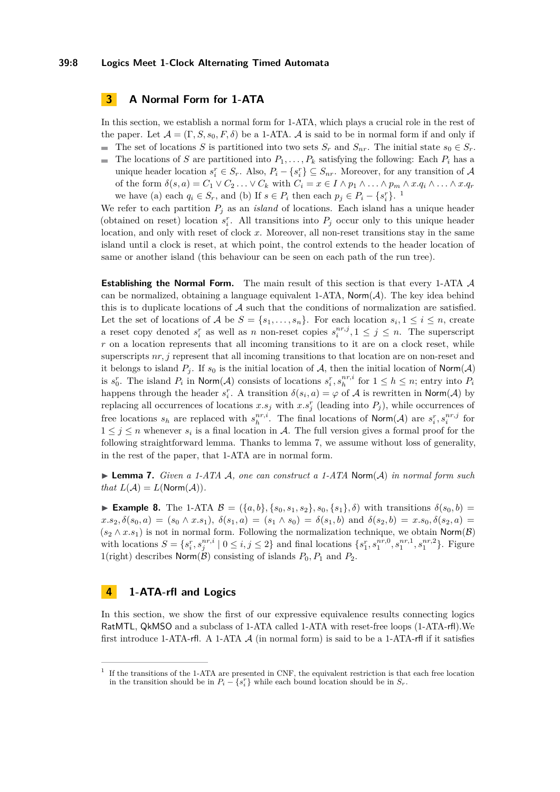#### **39:8 Logics Meet 1-Clock Alternating Timed Automata**

# **3 A Normal Form for 1-ATA**

In this section, we establish a normal form for 1-ATA, which plays a crucial role in the rest of the paper. Let  $\mathcal{A} = (\Gamma, S, s_0, F, \delta)$  be a 1-ATA. A is said to be in normal form if and only if

- The set of locations *S* is partitioned into two sets  $S_r$  and  $S_{nr}$ . The initial state  $s_0 \in S_r$ .
- The locations of *S* are partitioned into  $P_1, \ldots, P_k$  satisfying the following: Each  $P_i$  has a  $\blacksquare$ unique header location  $s_i^r \in S_r$ . Also,  $P_i - \{s_i^r\} \subseteq S_{nr}$ . Moreover, for any transition of A of the form  $\delta(s, a) = C_1 \vee C_2 \ldots \vee C_k$  with  $C_i = x \in I \wedge p_1 \wedge \ldots \wedge p_m \wedge x.q_i \wedge \ldots \wedge x.q_r$ we have (a) each  $q_i \in S_r$ , and (b) If  $s \in P_i$  then each  $p_j \in P_i - \{s_i^r\}$ . [1](#page-7-1)

We refer to each partition  $P_j$  as an *island* of locations. Each island has a unique header (obtained on reset) location  $s_i^r$ . All transitions into  $P_j$  occur only to this unique header location, and only with reset of clock *x*. Moreover, all non-reset transitions stay in the same island until a clock is reset, at which point, the control extends to the header location of same or another island (this behaviour can be seen on each path of the run tree).

**Establishing the Normal Form.** The main result of this section is that every 1-ATA A can be normalized, obtaining a language equivalent 1-ATA,  $\mathsf{Norm}(\mathcal{A})$ . The key idea behind this is to duplicate locations of  $A$  such that the conditions of normalization are satisfied. Let the set of locations of  $A$  be  $S = \{s_1, \ldots, s_n\}$ . For each location  $s_i, 1 \leq i \leq n$ , create a reset copy denoted  $s_i^r$  as well as *n* non-reset copies  $s_i^{nr,j}, 1 \leq j \leq n$ . The superscript *r* on a location represents that all incoming transitions to it are on a clock reset, while superscripts  $nr, j$  represent that all incoming transitions to that location are on non-reset and it belongs to island  $P_i$ . If  $s_0$  is the initial location of  $\mathcal{A}$ , then the initial location of Norm( $\mathcal{A}$ ) is  $s_i^r$ . The island  $P_i$  in Norm(A) consists of locations  $s_i^r, s_h^{nr,i}$  for  $1 \leq h \leq n$ ; entry into  $P_i$ happens through the header  $s_i^r$ . A transition  $\delta(s_i, a) = \varphi$  of A is rewritten in Norm(A) by replacing all occurrences of locations  $x.s_j$  with  $x.s_j^r$  (leading into  $P_j$ ), while occurrences of free locations  $s_h$  are replaced with  $s_h^{nr,i}$ . The final locations of Norm(A) are  $s_i^r, s_i^{nr,j}$  for  $1 \leq j \leq n$  whenever  $s_i$  is a final location in A. The full version gives a formal proof for the following straightforward lemma. Thanks to lemma [7,](#page-7-2) we assume without loss of generality, in the rest of the paper, that 1-ATA are in normal form.

<span id="page-7-2"></span>I **Lemma 7.** *Given a 1-ATA* A*, one can construct a 1-ATA* Norm(A) *in normal form such that*  $L(\mathcal{A}) = L(\text{Norm}(\mathcal{A})).$ 

<span id="page-7-3"></span>► **Example 8.** The 1-ATA  $\mathcal{B} = (\{a, b\}, \{s_0, s_1, s_2\}, s_0, \{s_1\}, \delta)$  with transitions  $\delta(s_0, b)$  $x.s_2, \delta(s_0, a) = (s_0 \wedge x.s_1), \ \delta(s_1, a) = (s_1 \wedge s_0) = \delta(s_1, b)$  and  $\delta(s_2, b) = x.s_0, \delta(s_2, a) =$  $(s_2 \wedge x.s_1)$  is not in normal form. Following the normalization technique, we obtain Norm(B) with locations  $S = \{s_i^r, s_j^{nr,i} \mid 0 \le i, j \le 2\}$  and final locations  $\{s_1^r, s_1^{nr,0}, s_1^{nr,1}, s_1^{nr,2}\}$ . Figure [1\(](#page-8-0)right) describes  $\textsf{Norm}(\mathcal{B})$  consisting of islands  $P_0, P_1$  and  $P_2$ .

# <span id="page-7-0"></span>**4 1-ATA-rfl and Logics**

In this section, we show the first of our expressive equivalence results connecting logics RatMTL, QkMSO and a subclass of 1-ATA called 1-ATA with reset-free loops (1-ATA-rfl).We first introduce 1-ATA-rfl. A 1-ATA  $\mathcal A$  (in normal form) is said to be a 1-ATA-rfl if it satisfies

<span id="page-7-1"></span><sup>&</sup>lt;sup>1</sup> If the transitions of the 1-ATA are presented in CNF, the equivalent restriction is that each free location in the transition should be in  $P_i - \{s_i^r\}$  while each bound location should be in  $S_r$ .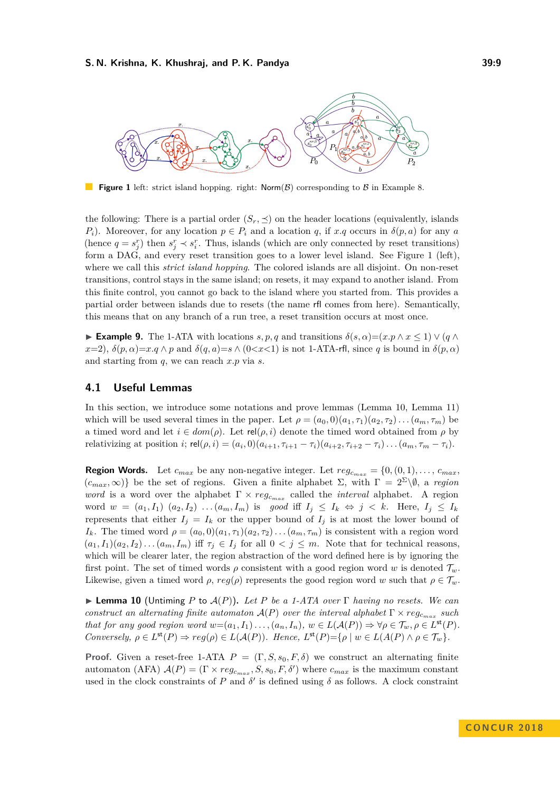<span id="page-8-0"></span>

**Figure 1** left: strict island hopping. right:  $\text{Norm}(\mathcal{B})$  corresponding to  $\mathcal{B}$  in Example [8.](#page-7-3)

the following: There is a partial order  $(S_r, \preceq)$  on the header locations (equivalently, islands *P<sub>i</sub>*). Moreover, for any location  $p \in P_i$  and a location *q*, if *x.q* occurs in  $\delta(p, a)$  for any *a* (hence  $q = s_j^r$ ) then  $s_j^r \prec s_i^r$ . Thus, islands (which are only connected by reset transitions) form a DAG, and every reset transition goes to a lower level island. See Figure [1](#page-8-0) (left), where we call this *strict island hopping*. The colored islands are all disjoint. On non-reset transitions, control stays in the same island; on resets, it may expand to another island. From this finite control, you cannot go back to the island where you started from. This provides a partial order between islands due to resets (the name rfl comes from here). Semantically, this means that on any branch of a run tree, a reset transition occurs at most once.

 $\blacktriangleright$  **Example 9.** The 1-ATA with locations *s, p, q* and transitions *δ*(*s, α*)=(*x, p* ∧ *x* ≤ 1) ∨ (*q* ∧  $x=2$ ,  $\delta(p,\alpha)=x.q \wedge p$  and  $\delta(q,a)=s \wedge (0 < x < 1)$  is not 1-ATA-rfl, since q is bound in  $\delta(p,\alpha)$ and starting from *q*, we can reach *x.p* via *s*.

### **4.1 Useful Lemmas**

In this section, we introduce some notations and prove lemmas (Lemma [10,](#page-8-1) Lemma [11\)](#page-9-0) which will be used several times in the paper. Let  $\rho = (a_0, 0)(a_1, \tau_1)(a_2, \tau_2) \ldots (a_m, \tau_m)$  be a timed word and let  $i \in dom(\rho)$ . Let  $rel(\rho, i)$  denote the timed word obtained from  $\rho$  by relativizing at position *i*;  $rel(\rho, i) = (a_i, 0)(a_{i+1}, \tau_{i+1} - \tau_i)(a_{i+2}, \tau_{i+2} - \tau_i) \dots (a_m, \tau_m - \tau_i).$ 

**Region Words.** Let  $c_{max}$  be any non-negative integer. Let  $reg_{c_{max}} = \{0, (0, 1), \ldots, c_{max} \}$  $(c_{max}, \infty)$ } be the set of regions. Given a finite alphabet  $\Sigma$ , with  $\Gamma = 2^{\Sigma} \backslash \emptyset$ , a *region word* is a word over the alphabet  $\Gamma \times reg_{c_{max}}$  called the *interval* alphabet. A region word  $w = (a_1, I_1) (a_2, I_2) \dots (a_m, I_m)$  is good iff  $I_j \leq I_k \Leftrightarrow j \leq k$ . Here,  $I_j \leq I_k$ represents that either  $I_i = I_k$  or the upper bound of  $I_i$  is at most the lower bound of *I*<sub>k</sub>. The timed word  $\rho = (a_0, 0)(a_1, \tau_1)(a_2, \tau_2) \dots (a_m, \tau_m)$  is consistent with a region word  $(a_1, I_1)(a_2, I_2)\dots(a_m, I_m)$  iff  $\tau_j \in I_j$  for all  $0 < j \leq m$ . Note that for technical reasons, which will be clearer later, the region abstraction of the word defined here is by ignoring the first point. The set of timed words  $\rho$  consistent with a good region word *w* is denoted  $\mathcal{T}_w$ . Likewise, given a timed word  $\rho$ ,  $reg(\rho)$  represents the good region word *w* such that  $\rho \in \mathcal{T}_w$ .

<span id="page-8-1"></span>I **Lemma 10** (Untiming *P* to A(*P*))**.** *Let P be a 1-ATA over* Γ *having no resets. We can construct an alternating finite automaton*  $\mathcal{A}(P)$  *over the interval alphabet*  $\Gamma \times reg_{c_{max}}$  *such* that for any good region word  $w=(a_1, I_1) \ldots (a_n, I_n), w \in L(\mathcal{A}(P)) \Rightarrow \forall \rho \in \mathcal{T}_w, \rho \in L^{\text{st}}(P)$ . *Conversely,*  $\rho \in L^{\text{st}}(P) \Rightarrow \text{reg}(\rho) \in L(\mathcal{A}(P))$ *. Hence,*  $L^{\text{st}}(P) = \{ \rho \mid w \in L(\mathcal{A}(P) \land \rho \in \mathcal{T}_w \}$ *.* 

**Proof.** Given a reset-free 1-ATA  $P = (\Gamma, S, s_0, F, \delta)$  we construct an alternating finite automaton (AFA)  $\mathcal{A}(P) = (\Gamma \times reg_{c_{max}}, S, s_0, F, \delta')$  where  $c_{max}$  is the maximum constant used in the clock constraints of *P* and  $\delta'$  is defined using  $\delta$  as follows. A clock constraint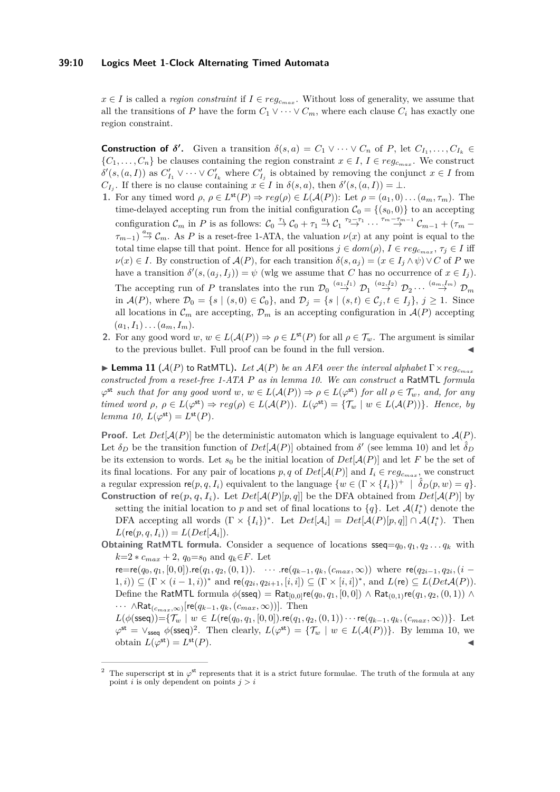#### **39:10 Logics Meet 1-Clock Alternating Timed Automata**

 $x \in I$  is called a *region constraint* if  $I \in reg_{c_{max}}$ . Without loss of generality, we assume that all the transitions of *P* have the form  $C_1 \vee \cdots \vee C_m$ , where each clause  $C_i$  has exactly one region constraint.

**Construction of**  $\delta'$ **.** Given a transition  $\delta(s, a) = C_1 \vee \cdots \vee C_n$  of *P*, let  $C_{I_1}, \ldots, C_{I_k} \in$  ${C_1, \ldots, C_n}$  be clauses containing the region constraint  $x \in I$ ,  $I \in reg_{c_{max}}$ . We construct  $\delta'(s,(a,I))$  as  $C'_{I_1} \vee \cdots \vee C'_{I_k}$  where  $C'_{I_j}$  is obtained by removing the conjunct  $x \in I$  from *C*<sub>*I*</sub><sup>*j*</sup>. If there is no clause containing  $x \in I$  in  $\delta(s, a)$ , then  $\delta'(s, (a, I)) = \bot$ .

- **1.** For any timed word  $\rho, \rho \in L^{\text{st}}(P) \Rightarrow reg(\rho) \in L(\mathcal{A}(P))$ : Let  $\rho = (a_1, 0) \dots (a_m, \tau_m)$ . The time-delayed accepting run from the initial configuration  $C_0 = \{(s_0, 0)\}\)$  to an accepting configuration  $\mathcal{C}_m$  in *P* is as follows:  $\mathcal{C}_0 \stackrel{\tau_1}{\rightarrow} \mathcal{C}_0 + \tau_1 \stackrel{a_1}{\rightarrow} \mathcal{C}_1 \stackrel{\tau_2 - \tau_1}{\rightarrow} \cdots \stackrel{\tau_m - \tau_{m-1}}{\rightarrow} \mathcal{C}_{m-1} + (\tau_m - \tau_m)$  $\tau_{m-1}$ )  $\stackrel{a_m}{\rightarrow} C_m$ . As *P* is a reset-free 1-ATA, the valuation  $\nu(x)$  at any point is equal to the total time elapse till that point. Hence for all positions  $j \in dom(\rho)$ ,  $I \in reg_{c_{max}}, \tau_j \in I$  iff  $\nu(x) \in I$ . By construction of  $\mathcal{A}(P)$ , for each transition  $\delta(s, a_j) = (x \in I_j \land \psi) \lor C$  of *P* we have a transition  $\delta'(s,(a_j,I_j)) = \psi$  (wlg we assume that *C* has no occurrence of  $x \in I_j$ ). The accepting run of *P* translates into the run  $\mathcal{D}_0 \stackrel{(a_1, I_1)}{\rightarrow} \mathcal{D}_1 \stackrel{(a_2, I_2)}{\rightarrow} \mathcal{D}_2 \cdots \stackrel{(a_m, I_m)}{\rightarrow} \mathcal{D}_m$ in  $\mathcal{A}(P)$ , where  $\mathcal{D}_0 = \{s \mid (s, 0) \in \mathcal{C}_0\}$ , and  $\mathcal{D}_j = \{s \mid (s, t) \in \mathcal{C}_j, t \in I_j\}$ ,  $j \geq 1$ . Since all locations in  $\mathcal{C}_m$  are accepting,  $\mathcal{D}_m$  is an accepting configuration in  $\mathcal{A}(P)$  accepting  $(a_1, I_1) \ldots (a_m, I_m)$ .
- **2.** For any good word  $w, w \in L(\mathcal{A}(P)) \Rightarrow \rho \in L^{\text{st}}(P)$  for all  $\rho \in \mathcal{T}_w$ . The argument is similar to the previous bullet. Full proof can be found in the full version.

<span id="page-9-0"></span>**Example 11** ( $\mathcal{A}(P)$  to RatMTL). Let  $\mathcal{A}(P)$  be an AFA over the interval alphabet  $\Gamma \times reg_{\text{c}max}$ *constructed from a reset-free 1-ATA P as in lemma [10.](#page-8-1) We can construct a* RatMTL *formula*  $\varphi^{\mathsf{st}}$  *such that for any good word*  $w, w \in L(\mathcal{A}(P)) \Rightarrow \rho \in L(\varphi^{\mathsf{st}})$  *for all*  $\rho \in \mathcal{T}_w$ *, and, for any timed word*  $\rho, \rho \in L(\varphi^{\text{st}}) \Rightarrow \text{reg}(\rho) \in L(\mathcal{A}(P))$ *.*  $L(\varphi^{\text{st}}) = \{ \mathcal{T}_w \mid w \in L(\mathcal{A}(P)) \}$ *. Hence, by lemma 10*,  $L(\varphi^{\text{st}}) = L^{\text{st}}(P)$ *.* 

**Proof.** Let  $Det[\mathcal{A}(P)]$  be the deterministic automaton which is language equivalent to  $\mathcal{A}(P)$ . Let  $\delta_D$  be the transition function of  $Det[\mathcal{A}(P)]$  obtained from  $\delta'$  (see lemma [10\)](#page-8-1) and let  $\hat{\delta}_D$ be its extension to words. Let  $s_0$  be the initial location of  $Det[\mathcal{A}(P)]$  and let F be the set of its final locations. For any pair of locations  $p, q$  of  $Det[\mathcal{A}(P)]$  and  $I_i \in reg_{c_{max}}$ , we construct a regular expression  $\mathsf{re}(p, q, I_i)$  equivalent to the language  $\{w \in (\Gamma \times \{I_i\})^+ \mid \hat{\delta}_D(p, w) = q\}.$ **Construction of**  $\text{re}(p, q, I_i)$ **.** Let  $Det[\mathcal{A}(P)[p, q]]$  be the DFA obtained from  $Det[\mathcal{A}(P)]$  by

setting the initial location to *p* and set of final locations to  ${q}$ . Let  $\mathcal{A}(I_i^*)$  denote the DFA accepting all words  $(\Gamma \times \{I_i\})^*$ . Let  $Det[\mathcal{A}_i] = Det[\mathcal{A}(P)[p, q]] \cap \mathcal{A}(I_i^*)$ . Then  $L(\text{re}(p, q, I_i)) = L(Det[\mathcal{A}_i]).$ 

**Obtaining RatMTL formula.** Consider a sequence of locations  $\textsf{sseq}=q_0, q_1, q_2 \ldots q_k$  with *k*=2 ∗  $c_{max}$  + 2,  $q_0$ = $s_0$  and  $q_k \in F$ . Let

 $\mathsf{re}\mathsf{=re}(q_0,q_1,[0,0]).\mathsf{re}(q_1,q_2,(0,1))\mathsf{.}\quad \cdots\,\mathsf{re}(q_{k-1},q_k,(c_{max},\infty))\, \text{ where }\, \mathsf{re}(q_{2i-1},q_{2i},(i-1))\,\mathsf{r}_k$  $(1, i)$ ) ⊆  $(Γ × (i – 1, i))$ <sup>\*</sup> and  $\mathsf{re}(q_{2i}, q_{2i+1}, [i, i]) ⊆ (Γ × [i, i])$ <sup>\*</sup>, and  $L(\mathsf{re}) ⊆ L(Det\mathcal{A}(P)).$ Define the RatMTL formula  $\phi$ (sseq) = Rat<sub>[0,0]</sub>re( $q_0, q_1, [0, 0]$ ) ∧ Rat<sub>(0,1)</sub>re( $q_1, q_2, (0, 1)$ ) ∧  $\cdots \; \land \mathsf{Rat}_{(c_{max}, \infty)}[\mathsf{re}(q_{k-1}, q_k, (c_{max}, \infty))].$  Then

 $L(\phi(\textsf{sseq})) = \{ \mathcal{T}_{w} ~|~ w \in L(\textsf{re}(q_0,q_1,[0,0]).\textsf{re}(q_1,q_2,(0,1)) \cdot \cdot \cdot \textsf{re}(q_{k-1},q_k,(c_{max},\infty)) \}.$  Let  $\varphi^{\text{st}} = \vee_{\text{sseq}} \phi(\text{sseq})^2$  $\varphi^{\text{st}} = \vee_{\text{sseq}} \phi(\text{sseq})^2$ . Then clearly,  $L(\varphi^{\text{st}}) = {\mathcal{T}_w \mid w \in L(\mathcal{A}(P))}.$  By lemma [10,](#page-8-1) we obtain  $L(\varphi^{\text{st}}) = L$  $\mathsf{st}(P).$ 

<span id="page-9-1"></span><sup>&</sup>lt;sup>2</sup> The superscript st in  $\varphi^{\text{st}}$  represents that it is a strict future formulae. The truth of the formula at any point  $i$  is only dependent on points  $j > i$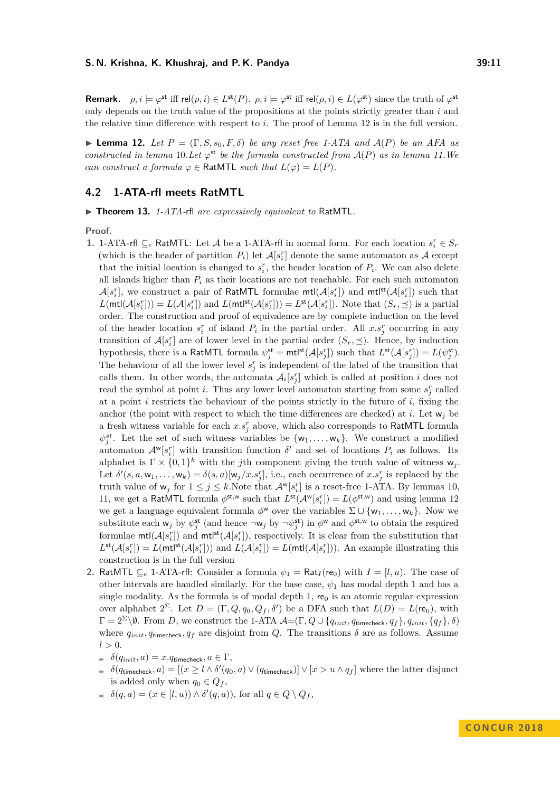**Remark.**  $\rho, i \models \varphi^{\text{st}}$  iff rel $(\rho, i) \in L^{\text{st}}(P)$ .  $\rho, i \models \varphi^{\text{st}}$  iff rel $(\rho, i) \in L(\varphi^{\text{st}})$  since the truth of  $\varphi^{\text{st}}$ only depends on the truth value of the propositions at the points strictly greater than *i* and the relative time difference with respect to *i*. The proof of Lemma [12](#page-10-0) is in the full version.

<span id="page-10-0"></span>**I Lemma 12.** Let  $P = (\Gamma, S, s_0, F, \delta)$  be any reset free 1-ATA and  $\mathcal{A}(P)$  be an AFA as *constructed in lemma* [10](#page-8-1)*.Let*  $\varphi^{st}$  *be the formula constructed from*  $A(P)$  *as in lemma* 11*.We can construct a formula*  $\varphi \in \text{RatMTL}$  *such that*  $L(\varphi) = L(P)$ *.* 

# **4.2 1-ATA-rfl meets RatMTL**

<span id="page-10-1"></span>▶ Theorem 13. *1-ATA-rfl are expressively equivalent to* RatMTL.

**Proof.**

- **1.** 1-ATA-rfl ⊆<sub>*e*</sub> RatMTL: Let *A* be a 1-ATA-rfl in normal form. For each location  $s_i^r$  ∈  $S_r$ (which is the header of partition  $P_i$ ) let  $\mathcal{A}[s_i]$  denote the same automaton as  $\mathcal{A}$  except that the initial location is changed to  $s_i^r$ , the header location of  $P_i$ . We can also delete all islands higher than *P<sup>i</sup>* as their locations are not reachable. For each such automaton  $\mathcal{A}[s_i^r]$ , we construct a pair of RatMTL formulae  $\mathsf{mtl}(\mathcal{A}[s_i^r])$  and  $\mathsf{mtl}^{\mathsf{st}}(\mathcal{A}[s_i^r])$  such that  $L(\text{mtl}(\mathcal{A}[s_i^r])) = L(\mathcal{A}[s_i^r])$  and  $L(\text{mtl}^{\text{st}}(\mathcal{A}[s_i^r])) = L^{\text{st}}(\mathcal{A}[s_i^r])$ . Note that  $(S_r, \preceq)$  is a partial order. The construction and proof of equivalence are by complete induction on the level of the header location  $s_i^r$  of island  $P_i$  in the partial order. All  $x.s_j^r$  occurring in any transition of  $\mathcal{A}[s_i^r]$  are of lower level in the partial order  $(S_r, \preceq)$ . Hence, by induction hypothesis, there is a RatMTL formula  $\psi_j^{\text{st}} = \text{mt}^{\text{lst}}(\mathcal{A}[s_j^r])$  such that  $L^{\text{st}}(\mathcal{A}[s_j^r]) = L(\psi_j^{\text{st}})$ . The behaviour of all the lower level  $s_j^r$  is independent of the label of the transition that calls them. In other words, the automata  $\mathcal{A}_i[s_j^r]$  which is called at position *i* does not read the symbol at point *i*. Thus any lower level automaton starting from some  $s_j^r$  called at a point *i* restricts the behaviour of the points strictly in the future of *i*, fixing the anchor (the point with respect to which the time differences are checked) at *i*. Let  $w_j$  be a fresh witness variable for each  $x.s<sub>j</sub><sup>r</sup>$  above, which also corresponds to RatMTL formula  $\psi_j^{st}$ . Let the set of such witness variables be  $\{w_1, \ldots, w_k\}$ . We construct a modified automaton  $\mathcal{A}^{\mathbf{w}}[s_i^r]$  with transition function  $\delta'$  and set of locations  $P_i$  as follows. Its alphabet is  $\Gamma \times \{0,1\}^k$  with the *j*th component giving the truth value of witness  $w_j$ . Let  $\delta'(s, a, w_1, \ldots, w_k) = \delta(s, a)[w_j/x.s_j^r]$ , i.e., each occurrence of  $x.s_j^r$  is replaced by the truth value of  $w_j$  for  $1 \leq j \leq k$ . Note that  $\mathcal{A}^w[s_i^r]$  is a reset-free 1-ATA. By lemmas [10,](#page-8-1) [11,](#page-9-0) we get a RatMTL formula  $\phi^{st,w}$  such that  $L^{st}(\mathcal{A}^w[s_i^r]) = L(\phi^{st,w})$  and using lemma [12](#page-10-0) we get a language equivalent formula  $\phi^w$  over the variables  $\Sigma \cup \{w_1, \ldots, w_k\}$ . Now we substitute each  $w_j$  by  $\psi_j^{\text{st}}$  (and hence  $\neg w_j$  by  $\neg \psi_j^{\text{st}}$ ) in  $\phi^{\text{w}}$  and  $\phi^{\text{st,w}}$  to obtain the required formulae  $mtl(\mathcal{A}[s_i^r])$  and  $mtl^{st}(\mathcal{A}[s_i^r])$ , respectively. It is clear from the substitution that  $L^{\text{st}}(\mathcal{A}[s_i^r]) = L(\text{mt}^{\text{st}}(\mathcal{A}[s_i^r]))$  and  $L(\mathcal{A}[s_i^r]) = L(\text{mt}^{\text{st}}(\mathcal{A}[s_i^r]))$ . An example illustrating this construction is in the full version
- **2.** RatMTL  $\subseteq$  1-ATA-rfl: Consider a formula  $\psi_1 = \text{Rat}_I(\text{re}_0)$  with  $I = [l, u)$ . The case of other intervals are handled similarly. For the base case,  $\psi_1$  has modal depth 1 and has a single modality. As the formula is of modal depth 1,  $\mathbf{r}_{0}$  is an atomic regular expression over alphabet  $2^{\Sigma}$ . Let  $D = (\Gamma, Q, q_0, Q_f, \delta')$  be a DFA such that  $L(D) = L(\mathbf{re}_0)$ , with  $Γ = 2<sup>Σ</sup> \setminus ∅$ . From *D*, we construct the 1-ATA  $A = (Γ, Q ∪ \{q_{init}, q_{timecheck}, q_f\}, q_{init}, \{q_f\}, δ)$ where  $q_{init}$ ,  $q_{timecheck}$ ,  $q_f$  are disjoint from *Q*. The transitions  $\delta$  are as follows. Assume  $l > 0$ .
	- $\delta(q_{init}, a) = x.q$ <sub>timecheck</sub>,  $a \in \Gamma$ ,
	- $\delta(q_{\text{timecheck}}, a) = [(x \ge l \land \delta'(q_0, a) \lor (q_{\text{timecheck}})] \lor [x > u \land q_f]$  where the latter disjunct is added only when  $q_0 \in Q_f$ ,
	- $\delta(q, a) = (x \in [l, u)) \wedge \delta'(q, a)$ , for all  $q \in Q \setminus Q_f$ ,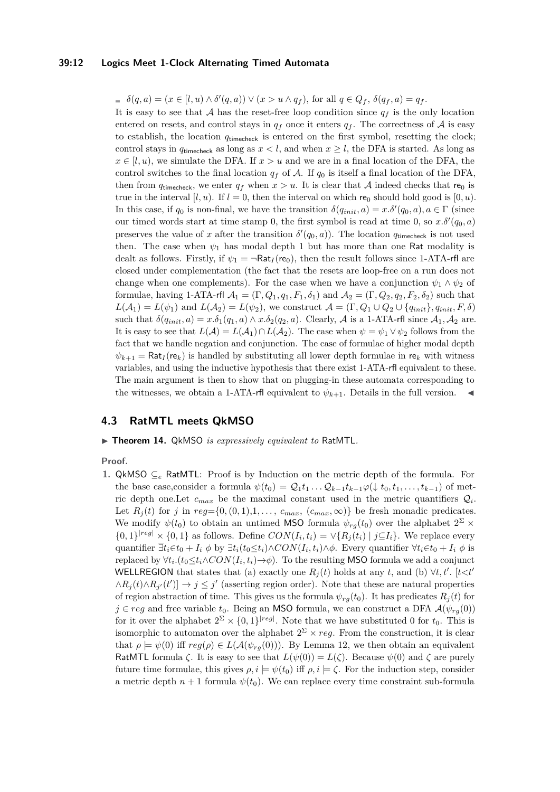#### **39:12 Logics Meet 1-Clock Alternating Timed Automata**

 $\delta(q, a) = (x \in [l, u) \land \delta'(q, a)) \lor (x > u \land q_f),$  for all  $q \in Q_f$ ,  $\delta(q_f, a) = q_f$ .

It is easy to see that A has the reset-free loop condition since  $q_f$  is the only location entered on resets, and control stays in  $q_f$  once it enters  $q_f$ . The correctness of A is easy to establish, the location *q*timecheck is entered on the first symbol, resetting the clock; control stays in  $q_{\text{timecheck}}$  as long as  $x < l$ , and when  $x \geq l$ , the DFA is started. As long as  $x \in [l, u)$ , we simulate the DFA. If  $x > u$  and we are in a final location of the DFA, the control switches to the final location  $q_f$  of A. If  $q_0$  is itself a final location of the DFA, then from  $q_{timecheck}$ , we enter  $q_f$  when  $x > u$ . It is clear that A indeed checks that re<sub>0</sub> is true in the interval  $[l, u)$ . If  $l = 0$ , then the interval on which re<sub>0</sub> should hold good is  $[0, u)$ . In this case, if  $q_0$  is non-final, we have the transition  $\delta(q_{init}, a) = x.\delta'(q_0, a), a \in \Gamma$  (since our timed words start at time stamp 0, the first symbol is read at time 0, so  $x.\delta'(q_0, a)$ preserves the value of *x* after the transition  $\delta'(q_0, a)$ ). The location  $q_{\text{timecheck}}$  is not used then. The case when  $\psi_1$  has modal depth 1 but has more than one Rat modality is dealt as follows. Firstly, if  $\psi_1 = \neg Rat_I$  (re<sub>0</sub>), then the result follows since 1-ATA-rfl are closed under complementation (the fact that the resets are loop-free on a run does not change when one complements). For the case when we have a conjunction  $\psi_1 \wedge \psi_2$  of formulae, having 1-ATA-rfl  $\mathcal{A}_1 = (\Gamma, Q_1, q_1, F_1, \delta_1)$  and  $\mathcal{A}_2 = (\Gamma, Q_2, q_2, F_2, \delta_2)$  such that  $L(A_1) = L(\psi_1)$  and  $L(A_2) = L(\psi_2)$ , we construct  $\mathcal{A} = (\Gamma, Q_1 \cup Q_2 \cup \{q_{init}\}, q_{init}, F, \delta)$ such that  $\delta(q_{init}, a) = x.\delta_1(q_1, a) \wedge x.\delta_2(q_2, a)$ . Clearly, A is a 1-ATA-rfl since  $A_1, A_2$  are. It is easy to see that  $L(\mathcal{A}) = L(\mathcal{A}_1) \cap L(\mathcal{A}_2)$ . The case when  $\psi = \psi_1 \vee \psi_2$  follows from the fact that we handle negation and conjunction. The case of formulae of higher modal depth  $\psi_{k+1} = \text{Rat}_I(\mathbf{re}_k)$  is handled by substituting all lower depth formulae in re<sub>k</sub> with witness variables, and using the inductive hypothesis that there exist 1-ATA-rfl equivalent to these. The main argument is then to show that on plugging-in these automata corresponding to the witnesses, we obtain a 1-ATA-rfl equivalent to  $\psi_{k+1}$ . Details in the full version.

# **4.3 RatMTL meets QkMSO**

#### <span id="page-11-0"></span>▶ Theorem 14. QkMSO *is expressively equivalent to* RatMTL.

**Proof.**

**1.** QkMSO  $\subseteq_e$  RatMTL: Proof is by Induction on the metric depth of the formula. For the base case,consider a formula  $\psi(t_0) = Q_1 t_1 \dots Q_{k-1} t_{k-1} \varphi(\downarrow t_0, t_1, \dots, t_{k-1})$  of metric depth one. Let  $c_{max}$  be the maximal constant used in the metric quantifiers  $Q_i$ . Let  $R_j(t)$  for *j* in  $reg = \{0, (0, 1), 1, \ldots, c_{max}, (c_{max}, \infty)\}$  be fresh monadic predicates. We modify  $\psi(t_0)$  to obtain an untimed MSO formula  $\psi_{rg}(t_0)$  over the alphabet  $2^{\Sigma} \times$  $\{0,1\}^{|reg|} \times \{0,1\}$  as follows. Define  $CON(I_i,t_i) = \vee \{R_j(t_i) \mid j \subseteq I_i\}$ . We replace every quantifier  $\bar{\exists} t_i \in t_0 + I_i \phi$  by  $\bar{\exists} t_i (t_0 \leq t_i) \wedge CON(I_i, t_i) \wedge \phi$ . Every quantifier  $\forall t_i \in t_0 + I_i \phi$  is replaced by  $\forall t_i. (t_0 \leq t_i \land CON(I_i, t_i) \rightarrow \phi)$ . To the resulting MSO formula we add a conjunct WELLREGION that states that (a) exactly one  $R_j(t)$  holds at any *t*, and (b)  $\forall t, t'$ . [ $t < t'$  $\land R_j(t) \land R_{j'}(t')$  →  $j \leq j'$  (asserting region order). Note that these are natural properties of region abstraction of time. This gives us the formula  $\psi_{rg}(t_0)$ . It has predicates  $R_j(t)$  for  $j \in reg$  and free variable  $t_0$ . Being an MSO formula, we can construct a DFA  $\mathcal{A}(\psi_{ra}(0))$ for it over the alphabet  $2^{\Sigma} \times \{0,1\}^{|reg|}$ . Note that we have substituted 0 for  $t_0$ . This is isomorphic to automaton over the alphabet  $2^{\Sigma} \times reg$ . From the construction, it is clear that  $\rho \models \psi(0)$  iff  $reg(\rho) \in L(\mathcal{A}(\psi_{rg}(0)))$ . By Lemma [12,](#page-10-0) we then obtain an equivalent RatMTL formula *ζ*. It is easy to see that  $L(\psi(0)) = L(\zeta)$ . Because  $\psi(0)$  and  $\zeta$  are purely future time formulae, this gives  $\rho, i \models \psi(t_0)$  iff  $\rho, i \models \zeta$ . For the induction step, consider a metric depth  $n + 1$  formula  $\psi(t_0)$ . We can replace every time constraint sub-formula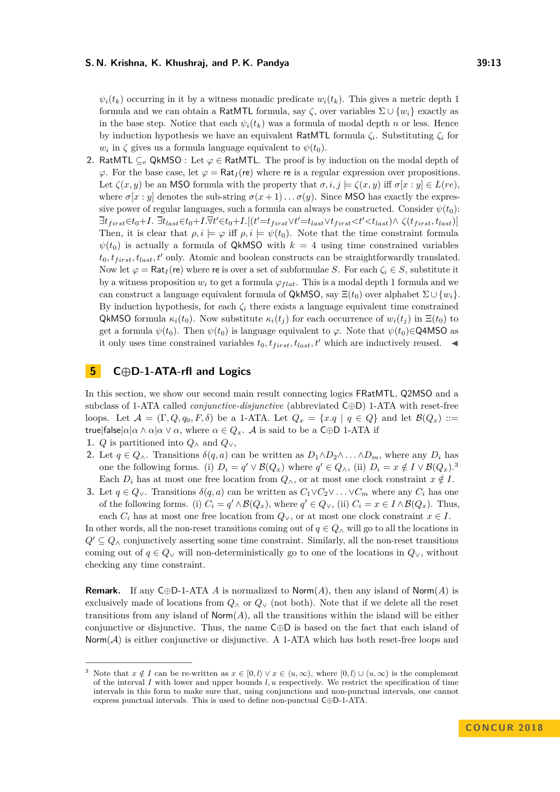$\psi_i(t_k)$  occurring in it by a witness monadic predicate  $w_i(t_k)$ . This gives a metric depth 1 formula and we can obtain a RatMTL formula, say  $\zeta$ , over variables  $\Sigma \cup \{w_i\}$  exactly as in the base step. Notice that each  $\psi_i(t_k)$  was a formula of modal depth *n* or less. Hence by induction hypothesis we have an equivalent RatMTL formula *ζ<sup>i</sup>* . Substituting *ζ<sup>i</sup>* for  $w_i$  in  $\zeta$  gives us a formula language equivalent to  $\psi(t_0)$ .

**2.** RatMTL ⊆*<sup>e</sup>* QkMSO : Let *ϕ* ∈ RatMTL. The proof is by induction on the modal depth of  $\varphi$ . For the base case, let  $\varphi = \text{Rat}_I(\text{re})$  where re is a regular expression over propositions. Let  $\zeta(x, y)$  be an MSO formula with the property that  $\sigma, i, j \models \zeta(x, y)$  iff  $\sigma[x : y] \in L(re)$ , where  $\sigma[x:y]$  denotes the sub-string  $\sigma(x+1)\dots\sigma(y)$ . Since MSO has exactly the expressive power of regular languages, such a formula can always be constructed. Consider  $\psi(t_0)$ :  $\overline{\exists} t_{first} \in t_0+I.~\overline{\exists} t_{last} \in t_0+I. \overline{\forall} t' \in t_0+I.[(t' = t_{first} \vee t' = t_{last} \vee t_{first} < t' < t_{last}) \wedge \zeta(t_{first}, t_{last})]$ Then, it is clear that  $\rho, i \models \varphi$  iff  $\rho, i \models \psi(t_0)$ . Note that the time constraint formula  $\psi(t_0)$  is actually a formula of QkMSO with  $k = 4$  using time constrained variables  $t_0, t_{first}, t_{last}, t'$  only. Atomic and boolean constructs can be straightforwardly translated. Now let  $\varphi = \text{Rat}_I(\text{re})$  where re is over a set of subformulae *S*. For each  $\zeta_i \in S$ , substitute it by a witness proposition  $w_i$  to get a formula  $\varphi_{flat}$ . This is a modal depth 1 formula and we can construct a language equivalent formula of QkMSO, say  $\Xi(t_0)$  over alphabet  $\Sigma \cup \{w_i\}$ . By induction hypothesis, for each  $\zeta_i$  there exists a language equivalent time constrained QkMSO formula  $\kappa_i(t_0)$ . Now substitute  $\kappa_i(t_i)$  for each occurrence of  $w_i(t_i)$  in  $\Xi(t_0)$  to get a formula  $\psi(t_0)$ . Then  $\psi(t_0)$  is language equivalent to  $\varphi$ . Note that  $\psi(t_0) \in \mathsf{Q4MSO}$  as it only uses time constrained variables  $t_0, t_{first}, t_{last}, t'$  which are inductively reused.  $\blacktriangleleft$ 

# <span id="page-12-0"></span>**5 C⊕D-1-ATA-rfl and Logics**

In this section, we show our second main result connecting logics FRatMTL*,* Q2MSO and a subclass of 1-ATA called *conjunctive-disjunctive* (abbreviated C⊕D) 1-ATA with reset-free loops. Let  $\mathcal{A} = (\Gamma, Q, q_0, F, \delta)$  be a 1-ATA. Let  $Q_x = \{x, q \mid q \in Q\}$  and let  $\mathcal{B}(Q_x) ::=$ true|false| $\alpha|\alpha \wedge \alpha|\alpha \vee \alpha$ , where  $\alpha \in Q_x$ . A is said to be a C⊕D 1-ATA if

- 1. *Q* is partitioned into  $Q_$ wedge and  $Q_$ v,
- **2.** Let  $q \in Q_0$ . Transitions  $\delta(q, a)$  can be written as  $D_1 \wedge D_2 \wedge \ldots \wedge D_m$ , where any  $D_i$  has one the following forms. (i)  $D_i = q' \vee \mathcal{B}(Q_x)$  where  $q' \in Q_\wedge$ , (ii)  $D_i = x \notin I \vee \mathcal{B}(Q_x)$ .<sup>[3](#page-12-1)</sup> Each  $D_i$  has at most one free location from  $Q_\wedge$ , or at most one clock constraint  $x \notin I$ .
- **3.** Let  $q \in Q_\vee$ . Transitions  $\delta(q, a)$  can be written as  $C_1 \vee C_2 \vee \ldots \vee C_m$  where any  $C_i$  has one of the following forms. (i)  $C_i = q' \wedge \mathcal{B}(Q_x)$ , where  $q' \in Q_\vee$ , (ii)  $C_i = x \in I \wedge \mathcal{B}(Q_x)$ . Thus, each  $C_i$  has at most one free location from  $Q_\vee$ , or at most one clock constraint  $x \in I$ .

In other words, all the non-reset transitions coming out of  $q \in Q_$ ∧ will go to all the locations in  $Q' \subseteq Q_0$  conjunctively asserting some time constraint. Similarly, all the non-reset transitions coming out of  $q \in Q_$ ∨ will non-deterministically go to one of the locations in  $Q_$ <sup>v</sup>, without checking any time constraint.

**Remark.** If any C⊕D-1-ATA *A* is normalized to Norm(*A*), then any island of Norm(*A*) is exclusively made of locations from  $Q_{\wedge}$  or  $Q_{\vee}$  (not both). Note that if we delete all the reset transitions from any island of  $\textsf{Norm}(A)$ , all the transitions within the island will be either conjunctive or disjunctive. Thus, the name C⊕D is based on the fact that each island of  $\text{Norm}(\mathcal{A})$  is either conjunctive or disjunctive. A 1-ATA which has both reset-free loops and

<span id="page-12-1"></span>Note that  $x \notin I$  can be re-written as  $x \in [0, l \rangle \lor x \in \langle u, \infty \rangle$ , where  $[0, l \rangle \cup \langle u, \infty \rangle$  is the complement of the interval *I* with lower and upper bounds *l, u* respectively. We restrict the specification of time intervals in this form to make sure that, using conjunctions and non-punctual intervals, one cannot express punctual intervals. This is used to define non-punctual C⊕D-1-ATA.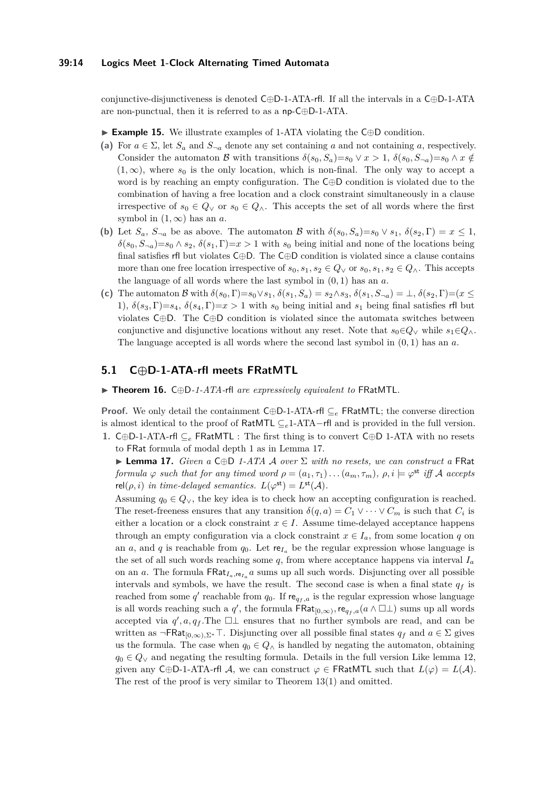#### **39:14 Logics Meet 1-Clock Alternating Timed Automata**

conjunctive-disjunctiveness is denoted C⊕D-1-ATA-rfl. If all the intervals in a C⊕D-1-ATA are non-punctual, then it is referred to as a np-C⊕D-1-ATA.

I **Example 15.** We illustrate examples of 1-ATA violating the C⊕D condition.

- (a) For  $a \in \Sigma$ , let  $S_a$  and  $S_{\neg a}$  denote any set containing *a* and not containing *a*, respectively. Consider the automaton B with transitions  $\delta(s_0, S_a)=s_0 \vee x > 1$ ,  $\delta(s_0, S_{\neg a})=s_0 \wedge x \notin$  $(1, \infty)$ , where  $s_0$  is the only location, which is non-final. The only way to accept a word is by reaching an empty configuration. The C⊕D condition is violated due to the combination of having a free location and a clock constraint simultaneously in a clause irrespective of  $s_0 \in Q_\vee$  or  $s_0 \in Q_\wedge$ . This accepts the set of all words where the first symbol in  $(1, \infty)$  has an *a*.
- **(b)** Let  $S_a$ ,  $S_{\neg a}$  be as above. The automaton B with  $\delta(s_0, S_a) = s_0 \vee s_1$ ,  $\delta(s_2, \Gamma) = x \leq 1$ ,  $\delta(s_0, S_{\neg a}) = s_0 \wedge s_2$ ,  $\delta(s_1, \Gamma) = x > 1$  with  $s_0$  being initial and none of the locations being final satisfies rfl but violates C⊕D. The C⊕D condition is violated since a clause contains more than one free location irrespective of  $s_0, s_1, s_2 \in Q_\vee$  or  $s_0, s_1, s_2 \in Q_\wedge$ . This accepts the language of all words where the last symbol in (0*,* 1) has an *a*.
- (c) The automaton B with  $\delta(s_0, \Gamma) = s_0 \vee s_1$ ,  $\delta(s_1, S_a) = s_2 \wedge s_3$ ,  $\delta(s_1, S_{\neg a}) = \bot$ ,  $\delta(s_2, \Gamma) = (x \leq s_1)$ 1),  $\delta(s_3, \Gamma)=s_4$ ,  $\delta(s_4, \Gamma)=x>1$  with  $s_0$  being initial and  $s_1$  being final satisfies rfl but violates C⊕D. The C⊕D condition is violated since the automata switches between conjunctive and disjunctive locations without any reset. Note that  $s_0 \in Q_\vee$  while  $s_1 \in Q_\wedge$ . The language accepted is all words where the second last symbol in (0*,* 1) has an *a*.

# **5.1 C⊕D-1-ATA-rfl meets FRatMTL**

to FRat formula of modal depth 1 as in Lemma [17.](#page-13-0)

<span id="page-13-1"></span>I **Theorem 16.** C⊕D*-1-ATA-*rfl *are expressively equivalent to* FRatMTL*.*

**Proof.** We only detail the containment C⊕D-1-ATA-rfl ⊆*<sup>e</sup>* FRatMTL; the converse direction is almost identical to the proof of RatMTL ⊆*e*1-ATA−rfl and is provided in the full version. **1.** C⊕D-1-ATA-rfl ⊆*<sup>e</sup>* FRatMTL : The first thing is to convert C⊕D 1-ATA with no resets

<span id="page-13-0"></span>I **Lemma 17.** *Given a* C⊕D *1-ATA* A *over* Σ *with no resets, we can construct a* FRat *formula*  $\varphi$  *such that for any timed word*  $\rho = (a_1, \tau_1) \dots (a_m, \tau_m)$ ,  $\rho, i \models \varphi^{\text{st}}$  *iff* A accepts  $rel(\rho, i)$  *in time-delayed semantics.*  $L(\varphi^{\text{st}}) = L^{\text{st}}(\mathcal{A})$ *.* 

Assuming  $q_0 \in Q_\vee$ , the key idea is to check how an accepting configuration is reached. The reset-freeness ensures that any transition  $\delta(q, a) = C_1 \vee \cdots \vee C_m$  is such that  $C_i$  is either a location or a clock constraint  $x \in I$ . Assume time-delayed acceptance happens through an empty configuration via a clock constraint  $x \in I_a$ , from some location *q* on an *a*, and *q* is reachable from  $q_0$ . Let re $I_a$  be the regular expression whose language is the set of all such words reaching some  $q$ , from where acceptance happens via interval  $I_a$ on an *a*. The formula  $\textsf{FRat}_{I_a,\textsf{re}_{I_a}} a$  sums up all such words. Disjuncting over all possible intervals and symbols, we have the result. The second case is when a final state  $q_f$  is reached from some  $q'$  reachable from  $q_0$ . If re $q_f$ <sub>*,a*</sub> is the regular expression whose language is all words reaching such a  $q'$ , the formula  $\overline{\mathsf{FRat}}_{[0,\infty)}$ ,  $\mathsf{re}_{q_f,a}(a \wedge \square \bot)$  sums up all words accepted via  $q'$ ,  $a$ ,  $q$ <sub>f</sub>. The  $\Box\bot$  ensures that no further symbols are read, and can be written as  $\neg$ **FRat**<sub>[0,∞)</sub>,  $\Sigma^*$ . Disjuncting over all possible final states  $q_f$  and  $a \in \Sigma$  gives us the formula. The case when  $q_0 \in Q_\wedge$  is handled by negating the automaton, obtaining  $q_0 ∈ Q_∨$  and negating the resulting formula. Details in the full version Like lemma [12,](#page-10-0) given any C⊕D-1-ATA-rfl A, we can construct  $\varphi \in \text{FRatMTL}$  such that  $L(\varphi) = L(\mathcal{A})$ . The rest of the proof is very similar to Theorem [13\(](#page-10-1)1) and omitted.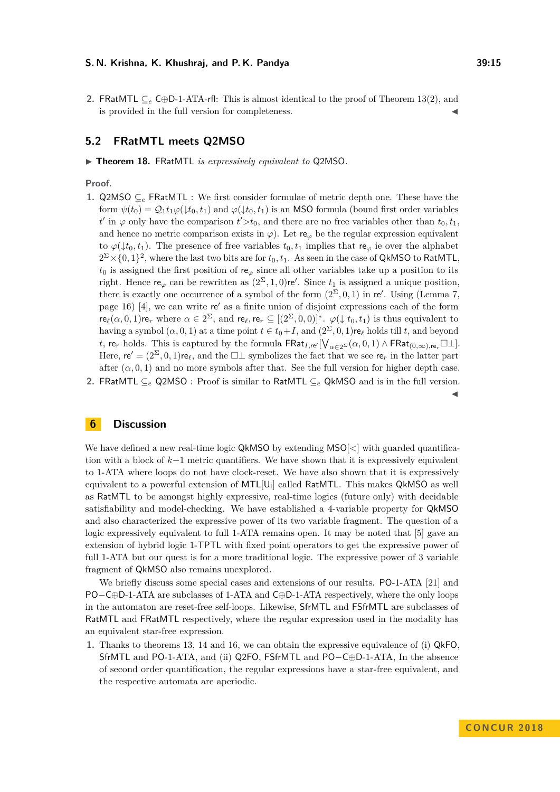2. FRatMTL ⊆<sub>e</sub> C⊕D-1-ATA-rfl: This is almost identical to the proof of Theorem [13\(](#page-10-1)2), and is provided in the full version for completeness.

### **5.2 FRatMTL meets Q2MSO**

▶ Theorem 18. FRatMTL *is expressively equivalent to* Q2MSO.

**Proof.**

**1.** Q2MSO  $\subseteq_e$  FRatMTL : We first consider formulae of metric depth one. These have the form  $\psi(t_0) = Q_1 t_1 \varphi(\downarrow t_0, t_1)$  and  $\varphi(\downarrow t_0, t_1)$  is an MSO formula (bound first order variables *t*<sup>*t*</sup> in  $\varphi$  only have the comparison *t*<sup> $\zeta$ </sup> > *t*<sub>0</sub>, and there are no free variables other than *t*<sub>0</sub>, *t*<sub>1</sub>, and hence no metric comparison exists in  $\varphi$ ). Let re<sub> $\varphi$ </sub> be the regular expression equivalent to  $\varphi(\downarrow t_0, t_1)$ . The presence of free variables  $t_0, t_1$  implies that re<sub> $\varphi$ </sub> ie over the alphabet  $2^{\Sigma} \times \{0,1\}^2$ , where the last two bits are for  $t_0, t_1$ . As seen in the case of QkMSO to RatMTL,  $t_0$  is assigned the first position of re<sub> $\varphi$ </sub> since all other variables take up a position to its right. Hence re<sub> $\varphi$ </sub> can be rewritten as  $(2^{\Sigma}, 1, 0)$  re'. Since  $t_1$  is assigned a unique position, there is exactly one occurrence of a symbol of the form  $(2^{\Sigma}, 0, 1)$  in re'. Using (Lemma 7, page  $16$  [\[4\]](#page-15-14), we can write re' as a finite union of disjoint expressions each of the form  $\mathsf{re}_{\ell}(\alpha, 0, 1)$ re<sub>*r*</sub> where  $\alpha \in 2^{\Sigma}$ , and  $\mathsf{re}_{\ell}, \mathsf{re}_{r} \subseteq [(2^{\Sigma}, 0, 0)]^*$ .  $\varphi(\downarrow t_0, t_1)$  is thus equivalent to having a symbol  $(\alpha, 0, 1)$  at a time point  $t \in t_0 + I$ , and  $(2^{\Sigma}, 0, 1)$ re $\ell$  holds till *t*, and beyond *t*, re<sub>*r*</sub> holds. This is captured by the formula  $\mathsf{FRat}_{I,\mathsf{re}'}[\bigvee_{\alpha \in 2^{\Sigma}} (\alpha,0,1) \wedge \mathsf{FRat}_{(0,\infty),\mathsf{re}_r} \Box \bot].$ Here,  $\mathbf{r}e' = (2^{\Sigma}, 0, 1)\mathbf{r}e_{\ell}$ , and the  $\Box\bot$  symbolizes the fact that we see  $\mathbf{r}e_r$  in the latter part after  $(\alpha, 0, 1)$  and no more symbols after that. See the full version for higher depth case. **2.** FRatMTL ⊆*<sup>e</sup>* Q2MSO : Proof is similar to RatMTL ⊆*<sup>e</sup>* QkMSO and is in the full version.

 $\blacktriangleleft$ 

# **6 Discussion**

We have defined a new real-time logic QkMSO by extending MSO[*<*] with guarded quantification with a block of *k*−1 metric quantifiers. We have shown that it is expressively equivalent to 1-ATA where loops do not have clock-reset. We have also shown that it is expressively equivalent to a powerful extension of  $MTL[U_l]$  called RatMTL. This makes QkMSO as well as RatMTL to be amongst highly expressive, real-time logics (future only) with decidable satisfiability and model-checking. We have established a 4-variable property for QkMSO and also characterized the expressive power of its two variable fragment. The question of a logic expressively equivalent to full 1-ATA remains open. It may be noted that [\[5\]](#page-15-15) gave an extension of hybrid logic 1-TPTL with fixed point operators to get the expressive power of full 1-ATA but our quest is for a more traditional logic. The expressive power of 3 variable fragment of QkMSO also remains unexplored.

We briefly discuss some special cases and extensions of our results. PO-1-ATA [\[21\]](#page-16-5) and PO−C⊕D-1-ATA are subclasses of 1-ATA and C⊕D-1-ATA respectively, where the only loops in the automaton are reset-free self-loops. Likewise, SfrMTL and FSfrMTL are subclasses of RatMTL and FRatMTL respectively, where the regular expression used in the modality has an equivalent star-free expression.

**1.** Thanks to theorems [13,](#page-10-1) [14](#page-11-0) and [16,](#page-13-1) we can obtain the expressive equivalence of (i) QkFO, SfrMTL and PO-1-ATA, and (ii) Q2FO, FSfrMTL and PO−C⊕D-1-ATA, In the absence of second order quantification, the regular expressions have a star-free equivalent, and the respective automata are aperiodic.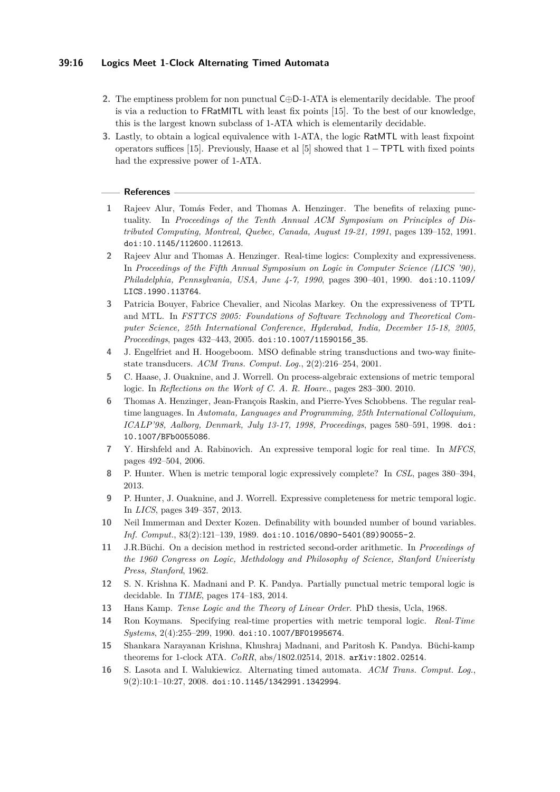# **39:16 Logics Meet 1-Clock Alternating Timed Automata**

- **2.** The emptiness problem for non punctual C⊕D-1-ATA is elementarily decidable. The proof is via a reduction to FRatMITL with least fix points [\[15\]](#page-15-0). To the best of our knowledge, this is the largest known subclass of 1-ATA which is elementarily decidable.
- **3.** Lastly, to obtain a logical equivalence with 1-ATA, the logic RatMTL with least fixpoint operators suffices [\[15\]](#page-15-0). Previously, Haase et al [\[5\]](#page-15-15) showed that 1 − TPTL with fixed points had the expressive power of 1-ATA.

#### **References**

- <span id="page-15-7"></span>**1** Rajeev Alur, Tomás Feder, and Thomas A. Henzinger. The benefits of relaxing punctuality. In *Proceedings of the Tenth Annual ACM Symposium on Principles of Distributed Computing, Montreal, Quebec, Canada, August 19-21, 1991*, pages 139–152, 1991. [doi:10.1145/112600.112613](http://dx.doi.org/10.1145/112600.112613).
- <span id="page-15-3"></span>**2** Rajeev Alur and Thomas A. Henzinger. Real-time logics: Complexity and expressiveness. In *Proceedings of the Fifth Annual Symposium on Logic in Computer Science (LICS '90), Philadelphia, Pennsylvania, USA, June 4-7, 1990*, pages 390–401, 1990. [doi:10.1109/](http://dx.doi.org/10.1109/LICS.1990.113764) [LICS.1990.113764](http://dx.doi.org/10.1109/LICS.1990.113764).
- <span id="page-15-4"></span>**3** Patricia Bouyer, Fabrice Chevalier, and Nicolas Markey. On the expressiveness of TPTL and MTL. In *FSTTCS 2005: Foundations of Software Technology and Theoretical Computer Science, 25th International Conference, Hyderabad, India, December 15-18, 2005, Proceedings*, pages 432–443, 2005. [doi:10.1007/11590156\\_35](http://dx.doi.org/10.1007/11590156_35).
- <span id="page-15-14"></span>**4** J. Engelfriet and H. Hoogeboom. MSO definable string transductions and two-way finitestate transducers. *ACM Trans. Comput. Log.*, 2(2):216–254, 2001.
- <span id="page-15-15"></span>**5** C. Haase, J. Ouaknine, and J. Worrell. On process-algebraic extensions of metric temporal logic. In *Reflections on the Work of C. A. R. Hoare.*, pages 283–300. 2010.
- <span id="page-15-8"></span>**6** Thomas A. Henzinger, Jean-François Raskin, and Pierre-Yves Schobbens. The regular realtime languages. In *Automata, Languages and Programming, 25th International Colloquium, ICALP'98, Aalborg, Denmark, July 13-17, 1998, Proceedings*, pages 580–591, 1998. [doi:](http://dx.doi.org/10.1007/BFb0055086) [10.1007/BFb0055086](http://dx.doi.org/10.1007/BFb0055086).
- <span id="page-15-11"></span>**7** Y. Hirshfeld and A. Rabinovich. An expressive temporal logic for real time. In *MFCS*, pages 492–504, 2006.
- <span id="page-15-6"></span>**8** P. Hunter. When is metric temporal logic expressively complete? In *CSL*, pages 380–394, 2013.
- <span id="page-15-5"></span>**9** P. Hunter, J. Ouaknine, and J. Worrell. Expressive completeness for metric temporal logic. In *LICS*, pages 349–357, 2013.
- <span id="page-15-12"></span>**10** Neil Immerman and Dexter Kozen. Definability with bounded number of bound variables. *Inf. Comput.*, 83(2):121–139, 1989. [doi:10.1016/0890-5401\(89\)90055-2](http://dx.doi.org/10.1016/0890-5401(89)90055-2).
- <span id="page-15-1"></span>**11** J.R.Büchi. On a decision method in restricted second-order arithmetic. In *Proceedings of the 1960 Congress on Logic, Methdology and Philosophy of Science, Stanford Univeristy Press, Stanford*, 1962.
- <span id="page-15-10"></span>**12** S. N. Krishna K. Madnani and P. K. Pandya. Partially punctual metric temporal logic is decidable. In *TIME*, pages 174–183, 2014.
- <span id="page-15-2"></span>**13** Hans Kamp. *Tense Logic and the Theory of Linear Order*. PhD thesis, Ucla, 1968.
- <span id="page-15-13"></span>**14** Ron Koymans. Specifying real-time properties with metric temporal logic. *Real-Time Systems*, 2(4):255–299, 1990. [doi:10.1007/BF01995674](http://dx.doi.org/10.1007/BF01995674).
- <span id="page-15-0"></span>**15** Shankara Narayanan Krishna, Khushraj Madnani, and Paritosh K. Pandya. Büchi-kamp theorems for 1-clock ATA. *CoRR*, abs/1802.02514, 2018. [arXiv:1802.02514](http://arxiv.org/abs/1802.02514).
- <span id="page-15-9"></span>**16** S. Lasota and I. Walukiewicz. Alternating timed automata. *ACM Trans. Comput. Log.*, 9(2):10:1–10:27, 2008. [doi:10.1145/1342991.1342994](http://dx.doi.org/10.1145/1342991.1342994).